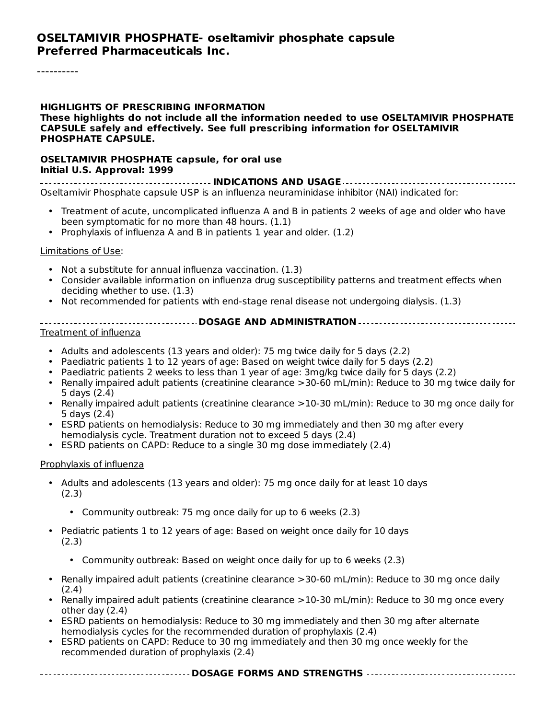#### **OSELTAMIVIR PHOSPHATE- oseltamivir phosphate capsule Preferred Pharmaceuticals Inc.**

#### **HIGHLIGHTS OF PRESCRIBING INFORMATION**

**These highlights do not include all the information needed to use OSELTAMIVIR PHOSPHATE CAPSULE safely and effectively. See full prescribing information for OSELTAMIVIR PHOSPHATE CAPSULE.**

#### **OSELTAMIVIR PHOSPHATE capsule, for oral use Initial U.S. Approval: 1999**

**INDICATIONS AND USAGE** Oseltamivir Phosphate capsule USP is an influenza neuraminidase inhibitor (NAI) indicated for:

- Treatment of acute, uncomplicated influenza A and B in patients 2 weeks of age and older who have been symptomatic for no more than 48 hours. (1.1)
- Prophylaxis of influenza A and B in patients 1 year and older. (1.2)

#### Limitations of Use:

- Not a substitute for annual influenza vaccination. (1.3)
- Consider available information on influenza drug susceptibility patterns and treatment effects when deciding whether to use. (1.3)
- Not recommended for patients with end-stage renal disease not undergoing dialysis. (1.3)
- **DOSAGE AND ADMINISTRATION**

#### Treatment of influenza

- Adults and adolescents (13 years and older): 75 mg twice daily for 5 days (2.2)
- Paediatric patients 1 to 12 years of age: Based on weight twice daily for 5 days (2.2)
- Paediatric patients 2 weeks to less than 1 year of age: 3mg/kg twice daily for 5 days (2.2)
- Renally impaired adult patients (creatinine clearance >30-60 mL/min): Reduce to 30 mg twice daily for 5 days (2.4)
- Renally impaired adult patients (creatinine clearance >10-30 mL/min): Reduce to 30 mg once daily for 5 days (2.4)
- ESRD patients on hemodialysis: Reduce to 30 mg immediately and then 30 mg after every hemodialysis cycle. Treatment duration not to exceed 5 days (2.4)
- ESRD patients on CAPD: Reduce to a single 30 mg dose immediately (2.4)

#### Prophylaxis of influenza

- Adults and adolescents (13 years and older): 75 mg once daily for at least 10 days (2.3)
	- Community outbreak: 75 mg once daily for up to 6 weeks (2.3)
- Pediatric patients 1 to 12 years of age: Based on weight once daily for 10 days (2.3)
	- Community outbreak: Based on weight once daily for up to 6 weeks (2.3)
- Renally impaired adult patients (creatinine clearance >30-60 mL/min): Reduce to 30 mg once daily (2.4)
- Renally impaired adult patients (creatinine clearance >10-30 mL/min): Reduce to 30 mg once every other day (2.4)
- ESRD patients on hemodialysis: Reduce to 30 mg immediately and then 30 mg after alternate hemodialysis cycles for the recommended duration of prophylaxis (2.4)
- ESRD patients on CAPD: Reduce to 30 mg immediately and then 30 mg once weekly for the recommended duration of prophylaxis (2.4)

#### **DOSAGE FORMS AND STRENGTHS**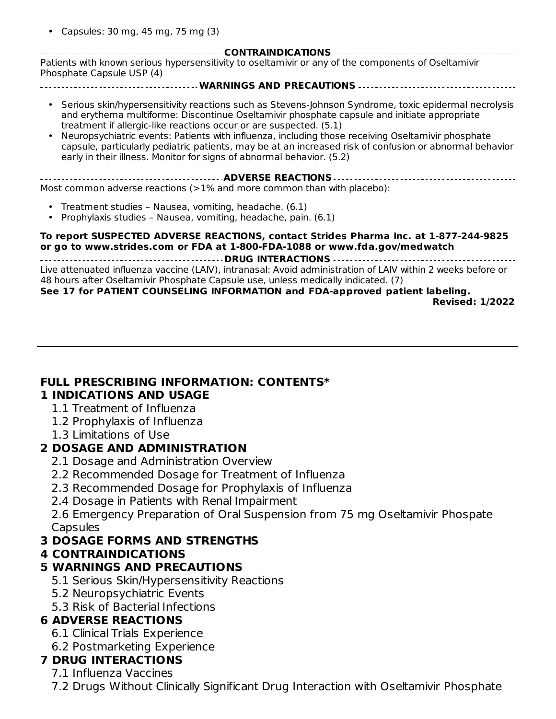• Capsules: 30 mg, 45 mg, 75 mg (3)

**CONTRAINDICATIONS** Patients with known serious hypersensitivity to oseltamivir or any of the components of Oseltamivir Phosphate Capsule USP (4)

- **WARNINGS AND PRECAUTIONS**
- Serious skin/hypersensitivity reactions such as Stevens-Johnson Syndrome, toxic epidermal necrolysis and erythema multiforme: Discontinue Oseltamivir phosphate capsule and initiate appropriate treatment if allergic-like reactions occur or are suspected. (5.1)
- Neuropsychiatric events: Patients with influenza, including those receiving Oseltamivir phosphate capsule, particularly pediatric patients, may be at an increased risk of confusion or abnormal behavior early in their illness. Monitor for signs of abnormal behavior. (5.2)

**ADVERSE REACTIONS**

Most common adverse reactions  $(>=1\%$  and more common than with placebo):

- Treatment studies Nausea, vomiting, headache. (6.1)
- Prophylaxis studies – Nausea, vomiting, headache, pain. (6.1)

#### **To report SUSPECTED ADVERSE REACTIONS, contact Strides Pharma Inc. at 1-877-244-9825 or go to www.strides.com or FDA at 1-800-FDA-1088 or www.fda.gov/medwatch**

**DRUG INTERACTIONS** Live attenuated influenza vaccine (LAIV), intranasal: Avoid administration of LAIV within 2 weeks before or 48 hours after Oseltamivir Phosphate Capsule use, unless medically indicated. (7)

#### **See 17 for PATIENT COUNSELING INFORMATION and FDA-approved patient labeling.**

**Revised: 1/2022**

#### **FULL PRESCRIBING INFORMATION: CONTENTS\* 1 INDICATIONS AND USAGE**

- 1.1 Treatment of Influenza
- 1.2 Prophylaxis of Influenza
- 1.3 Limitations of Use

### **2 DOSAGE AND ADMINISTRATION**

- 2.1 Dosage and Administration Overview
- 2.2 Recommended Dosage for Treatment of Influenza
- 2.3 Recommended Dosage for Prophylaxis of Influenza
- 2.4 Dosage in Patients with Renal Impairment

2.6 Emergency Preparation of Oral Suspension from 75 mg Oseltamivir Phospate Capsules

### **3 DOSAGE FORMS AND STRENGTHS**

#### **4 CONTRAINDICATIONS**

### **5 WARNINGS AND PRECAUTIONS**

- 5.1 Serious Skin/Hypersensitivity Reactions
- 5.2 Neuropsychiatric Events
- 5.3 Risk of Bacterial Infections

### **6 ADVERSE REACTIONS**

- 6.1 Clinical Trials Experience
- 6.2 Postmarketing Experience

### **7 DRUG INTERACTIONS**

7.1 Influenza Vaccines

7.2 Drugs Without Clinically Significant Drug Interaction with Oseltamivir Phosphate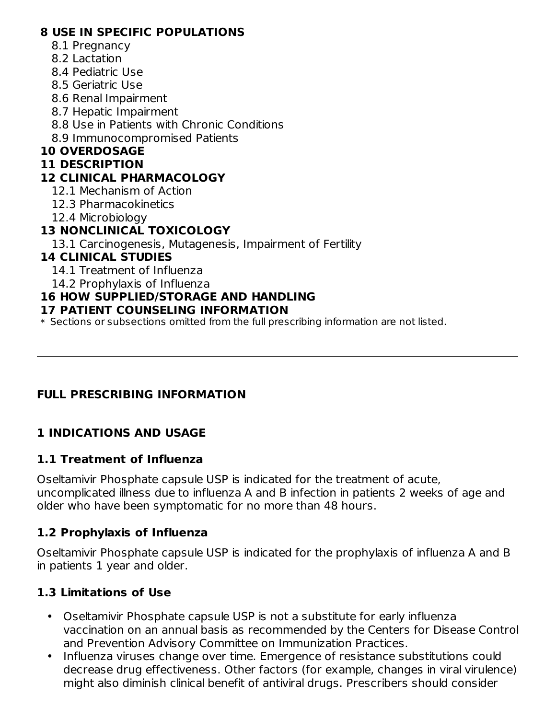### **8 USE IN SPECIFIC POPULATIONS**

- 8.1 Pregnancy
- 8.2 Lactation
- 8.4 Pediatric Use
- 8.5 Geriatric Use
- 8.6 Renal Impairment
- 8.7 Hepatic Impairment
- 8.8 Use in Patients with Chronic Conditions
- 8.9 Immunocompromised Patients

# **10 OVERDOSAGE**

### **11 DESCRIPTION**

# **12 CLINICAL PHARMACOLOGY**

- 12.1 Mechanism of Action
- 12.3 Pharmacokinetics
- 12.4 Microbiology

# **13 NONCLINICAL TOXICOLOGY**

13.1 Carcinogenesis, Mutagenesis, Impairment of Fertility

# **14 CLINICAL STUDIES**

- 14.1 Treatment of Influenza
- 14.2 Prophylaxis of Influenza

# **16 HOW SUPPLIED/STORAGE AND HANDLING**

## **17 PATIENT COUNSELING INFORMATION**

\* Sections or subsections omitted from the full prescribing information are not listed.

# **FULL PRESCRIBING INFORMATION**

# **1 INDICATIONS AND USAGE**

## **1.1 Treatment of Influenza**

Oseltamivir Phosphate capsule USP is indicated for the treatment of acute, uncomplicated illness due to influenza A and B infection in patients 2 weeks of age and older who have been symptomatic for no more than 48 hours.

# **1.2 Prophylaxis of Influenza**

Oseltamivir Phosphate capsule USP is indicated for the prophylaxis of influenza A and B in patients 1 year and older.

# **1.3 Limitations of Use**

- Oseltamivir Phosphate capsule USP is not a substitute for early influenza vaccination on an annual basis as recommended by the Centers for Disease Control and Prevention Advisory Committee on Immunization Practices.
- Influenza viruses change over time. Emergence of resistance substitutions could decrease drug effectiveness. Other factors (for example, changes in viral virulence) might also diminish clinical benefit of antiviral drugs. Prescribers should consider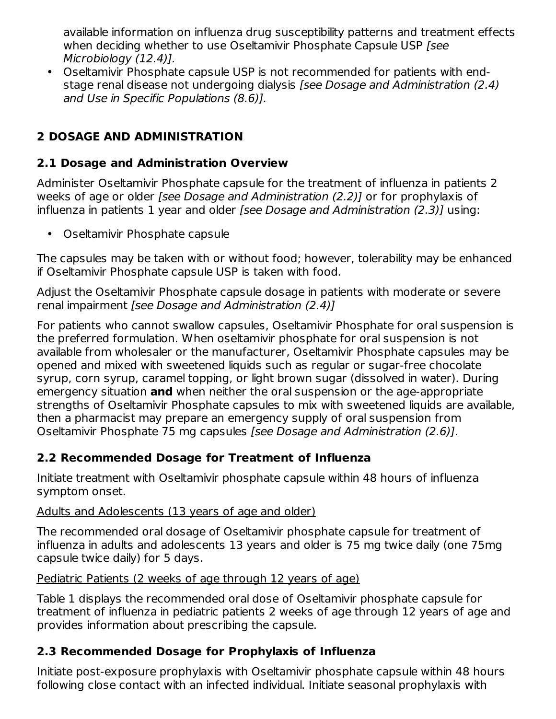available information on influenza drug susceptibility patterns and treatment effects when deciding whether to use Oseltamivir Phosphate Capsule USP [see] Microbiology (12.4)].

• Oseltamivir Phosphate capsule USP is not recommended for patients with endstage renal disease not undergoing dialysis [see Dosage and Administration (2.4) and Use in Specific Populations (8.6)].

# **2 DOSAGE AND ADMINISTRATION**

## **2.1 Dosage and Administration Overview**

Administer Oseltamivir Phosphate capsule for the treatment of influenza in patients 2 weeks of age or older [see Dosage and Administration (2.2)] or for prophylaxis of influenza in patients 1 year and older [see Dosage and Administration (2.3)] using:

• Oseltamivir Phosphate capsule

The capsules may be taken with or without food; however, tolerability may be enhanced if Oseltamivir Phosphate capsule USP is taken with food.

Adjust the Oseltamivir Phosphate capsule dosage in patients with moderate or severe renal impairment [see Dosage and Administration (2.4)]

For patients who cannot swallow capsules, Oseltamivir Phosphate for oral suspension is the preferred formulation. When oseltamivir phosphate for oral suspension is not available from wholesaler or the manufacturer, Oseltamivir Phosphate capsules may be opened and mixed with sweetened liquids such as regular or sugar-free chocolate syrup, corn syrup, caramel topping, or light brown sugar (dissolved in water). During emergency situation **and** when neither the oral suspension or the age-appropriate strengths of Oseltamivir Phosphate capsules to mix with sweetened liquids are available, then a pharmacist may prepare an emergency supply of oral suspension from Oseltamivir Phosphate 75 mg capsules [see Dosage and Administration (2.6)].

## **2.2 Recommended Dosage for Treatment of Influenza**

Initiate treatment with Oseltamivir phosphate capsule within 48 hours of influenza symptom onset.

## Adults and Adolescents (13 years of age and older)

The recommended oral dosage of Oseltamivir phosphate capsule for treatment of influenza in adults and adolescents 13 years and older is 75 mg twice daily (one 75mg capsule twice daily) for 5 days.

### Pediatric Patients (2 weeks of age through 12 years of age)

Table 1 displays the recommended oral dose of Oseltamivir phosphate capsule for treatment of influenza in pediatric patients 2 weeks of age through 12 years of age and provides information about prescribing the capsule.

## **2.3 Recommended Dosage for Prophylaxis of Influenza**

Initiate post-exposure prophylaxis with Oseltamivir phosphate capsule within 48 hours following close contact with an infected individual. Initiate seasonal prophylaxis with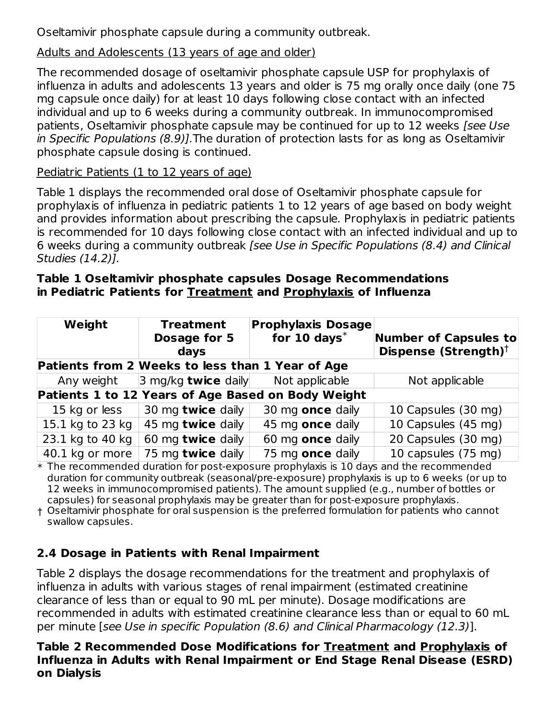Oseltamivir phosphate capsule during a community outbreak.

### Adults and Adolescents (13 years of age and older)

The recommended dosage of oseltamivir phosphate capsule USP for prophylaxis of influenza in adults and adolescents 13 years and older is 75 mg orally once daily (one 75 mg capsule once daily) for at least 10 days following close contact with an infected individual and up to 6 weeks during a community outbreak. In immunocompromised patients, Oseltamivir phosphate capsule may be continued for up to 12 weeks [see Use in Specific Populations (8.9)].The duration of protection lasts for as long as Oseltamivir phosphate capsule dosing is continued.

### Pediatric Patients (1 to 12 years of age)

Table 1 displays the recommended oral dose of Oseltamivir phosphate capsule for prophylaxis of influenza in pediatric patients 1 to 12 years of age based on body weight and provides information about prescribing the capsule. Prophylaxis in pediatric patients is recommended for 10 days following close contact with an infected individual and up to 6 weeks during a community outbreak [see Use in Specific Populations (8.4) and Clinical Studies (14.2)].

### **Table 1 Oseltamivir phosphate capsules Dosage Recommendations in Pediatric Patients for Treatment and Prophylaxis of Influenza**

| Weight                                           | <b>Treatment</b><br>Dosage for 5<br>days | <b>Prophylaxis Dosage</b><br>for $10 \text{ days}$ * | <b>Number of Capsules to</b><br>Dispense (Strength) <sup>†</sup> |  |  |  |
|--------------------------------------------------|------------------------------------------|------------------------------------------------------|------------------------------------------------------------------|--|--|--|
| Patients from 2 Weeks to less than 1 Year of Age |                                          |                                                      |                                                                  |  |  |  |
| Any weight                                       | $ 3 \text{ mg/kg}$ twice daily           | Not applicable                                       | Not applicable                                                   |  |  |  |
|                                                  |                                          | Patients 1 to 12 Years of Age Based on Body Weight   |                                                                  |  |  |  |
| 15 kg or less                                    | 30 mg twice daily                        | 30 mg once daily                                     | 10 Capsules (30 mg)                                              |  |  |  |
| 15.1 kg to 23 kg                                 | 45 mg twice daily                        | 45 mg once daily                                     | 10 Capsules (45 mg)                                              |  |  |  |
| 23.1 kg to 40 kg                                 | 60 mg twice daily                        | 60 mg once daily                                     | 20 Capsules (30 mg)                                              |  |  |  |
| 40.1 kg or more                                  | 75 mg twice daily                        | 75 mg once daily                                     | 10 capsules (75 mg)                                              |  |  |  |

 $\ast$  The recommended duration for post-exposure prophylaxis is 10 days and the recommended duration for community outbreak (seasonal/pre-exposure) prophylaxis is up to 6 weeks (or up to 12 weeks in immunocompromised patients). The amount supplied (e.g., number of bottles or capsules) for seasonal prophylaxis may be greater than for post-exposure prophylaxis.

† Oseltamivir phosphate for oral suspension is the preferred formulation for patients who cannot swallow capsules.

# **2.4 Dosage in Patients with Renal Impairment**

Table 2 displays the dosage recommendations for the treatment and prophylaxis of influenza in adults with various stages of renal impairment (estimated creatinine clearance of less than or equal to 90 mL per minute). Dosage modifications are recommended in adults with estimated creatinine clearance less than or equal to 60 mL per minute [see Use in specific Population (8.6) and Clinical Pharmacology (12.3)].

### **Table 2 Recommended Dose Modifications for Treatment and Prophylaxis of Influenza in Adults with Renal Impairment or End Stage Renal Disease (ESRD) on Dialysis**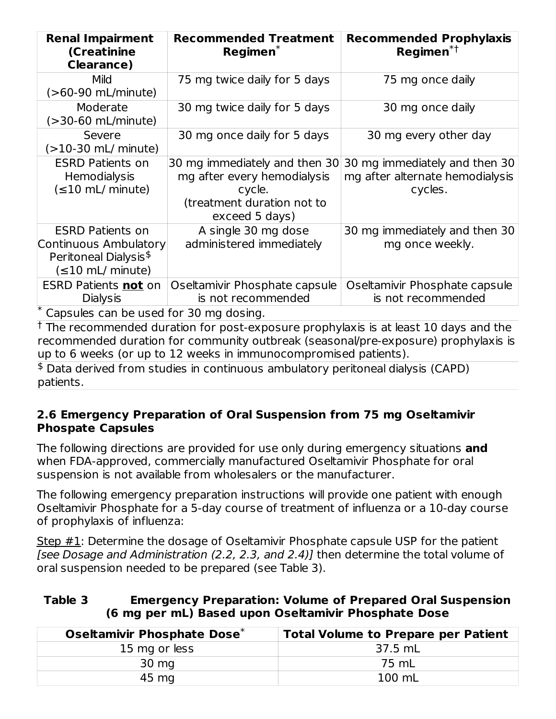| <b>Renal Impairment</b><br>(Creatinine<br><b>Clearance)</b>                                                     | <b>Recommended Treatment</b><br>$Reqimen^*$                                                                            | <b>Recommended Prophylaxis</b><br>Regimen <sup>*†</sup>                     |
|-----------------------------------------------------------------------------------------------------------------|------------------------------------------------------------------------------------------------------------------------|-----------------------------------------------------------------------------|
| <b>Mild</b><br>(>60-90 mL/minute)                                                                               | 75 mg twice daily for 5 days                                                                                           | 75 mg once daily                                                            |
| Moderate<br>(>30-60 mL/minute)                                                                                  | 30 mg twice daily for 5 days                                                                                           | 30 mg once daily                                                            |
| Severe<br>(>10-30 mL/ minute)                                                                                   | 30 mg once daily for 5 days                                                                                            | 30 mg every other day                                                       |
| <b>ESRD Patients on</b><br><b>Hemodialysis</b><br>$(\leq 10$ mL/ minute)                                        | 30 mg immediately and then 30<br>mg after every hemodialysis<br>cycle.<br>(treatment duration not to<br>exceed 5 days) | 30 mg immediately and then 30<br>mg after alternate hemodialysis<br>cycles. |
| <b>ESRD Patients on</b><br>Continuous Ambulatory<br>Peritoneal Dialysis <sup>\$</sup><br>$(\leq 10$ mL/ minute) | A single 30 mg dose<br>administered immediately                                                                        | 30 mg immediately and then 30<br>mg once weekly.                            |
| ESRD Patients <b>not</b> on<br><b>Dialysis</b><br>Capsules can be used for 30 mg dosing.                        | Oseltamivir Phosphate capsule<br>is not recommended                                                                    | Oseltamivir Phosphate capsule<br>is not recommended                         |

 $^\dagger$  The recommended duration for post-exposure prophylaxis is at least 10 days and the recommended duration for community outbreak (seasonal/pre-exposure) prophylaxis is up to 6 weeks (or up to 12 weeks in immunocompromised patients).

 $$$  Data derived from studies in continuous ambulatory peritoneal dialysis (CAPD) patients.

### **2.6 Emergency Preparation of Oral Suspension from 75 mg Oseltamivir Phospate Capsules**

The following directions are provided for use only during emergency situations **and** when FDA-approved, commercially manufactured Oseltamivir Phosphate for oral suspension is not available from wholesalers or the manufacturer.

The following emergency preparation instructions will provide one patient with enough Oseltamivir Phosphate for a 5-day course of treatment of influenza or a 10-day course of prophylaxis of influenza:

Step  $#1$ : Determine the dosage of Oseltamivir Phosphate capsule USP for the patient [see Dosage and Administration (2.2, 2.3, and 2.4)] then determine the total volume of oral suspension needed to be prepared (see Table 3).

#### **Table 3 Emergency Preparation: Volume of Prepared Oral Suspension (6 mg per mL) Based upon Oseltamivir Phosphate Dose**

| Oseltamivir Phosphate Dose* | <b>Total Volume to Prepare per Patient</b> |
|-----------------------------|--------------------------------------------|
| 15 mg or less               | 37.5 mL                                    |
| $30 \text{ mg}$             | 75 mL                                      |
| 45 mg                       | 100 mL                                     |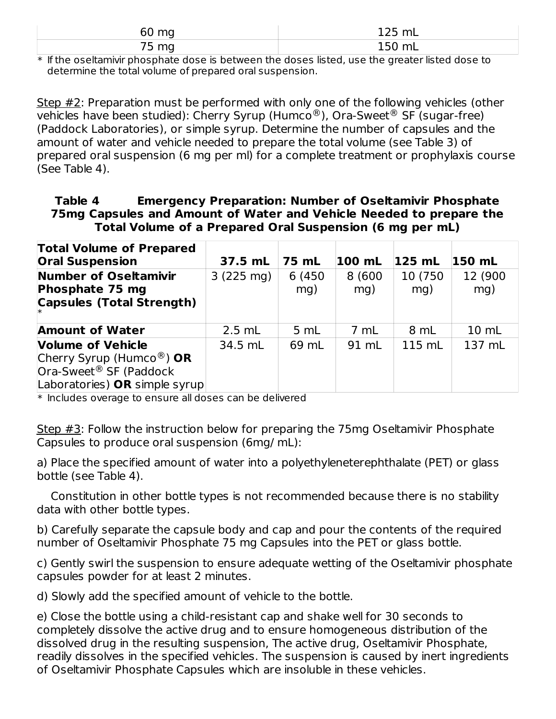| ື້<br><b>b</b> | - - -<br>$\sim$<br>.<br>. . |
|----------------|-----------------------------|
| --<br>m.<br>.  | $-00111$                    |

 $\ast$  If the oseltamivir phosphate dose is between the doses listed, use the greater listed dose to determine the total volume of prepared oral suspension.

Step #2: Preparation must be performed with only one of the following vehicles (other vehicles have been studied): Cherry Syrup (Humco®), Ora-Sweet® SF (sugar-free) (Paddock Laboratories), or simple syrup. Determine the number of capsules and the amount of water and vehicle needed to prepare the total volume (see Table 3) of prepared oral suspension (6 mg per ml) for a complete treatment or prophylaxis course (See Table 4).

### **Table 4 Emergency Preparation: Number of Oseltamivir Phosphate 75mg Capsules and Amount of Water and Vehicle Needed to prepare the Total Volume of a Prepared Oral Suspension (6 mg per mL)**

| <b>Total Volume of Prepared</b><br><b>Oral Suspension</b>                                                                   | 37.5 mL             | 75 mL          | 100 mL        | $125$ mL        | 150 mL          |
|-----------------------------------------------------------------------------------------------------------------------------|---------------------|----------------|---------------|-----------------|-----------------|
| <b>Number of Oseltamivir</b><br>Phosphate 75 mg<br><b>Capsules (Total Strength)</b>                                         | $3(225 \text{ mg})$ | 6 (450)<br>mg) | 8 (600<br>mg) | 10 (750)<br>mg) | 12 (900)<br>mg) |
| <b>Amount of Water</b>                                                                                                      | $2.5$ mL            | 5 mL           | 7 mL          | 8 mL            | 10 mL           |
| <b>Volume of Vehicle</b><br>Cherry Syrup (Humco®) OR<br>Ora-Sweet <sup>®</sup> SF (Paddock<br>Laboratories) OR simple syrup | 34.5 mL             | 69 mL          | 91 mL         | 115 mL          | 137 mL          |

\* Includes overage to ensure all doses can be delivered

Step  $\#3$ : Follow the instruction below for preparing the 75mg Oseltamivir Phosphate Capsules to produce oral suspension (6mg/ mL):

a) Place the specified amount of water into a polyethyleneterephthalate (PET) or glass bottle (see Table 4).

Constitution in other bottle types is not recommended because there is no stability data with other bottle types.

b) Carefully separate the capsule body and cap and pour the contents of the required number of Oseltamivir Phosphate 75 mg Capsules into the PET or glass bottle.

c) Gently swirl the suspension to ensure adequate wetting of the Oseltamivir phosphate capsules powder for at least 2 minutes.

d) Slowly add the specified amount of vehicle to the bottle.

e) Close the bottle using a child-resistant cap and shake well for 30 seconds to completely dissolve the active drug and to ensure homogeneous distribution of the dissolved drug in the resulting suspension, The active drug, Oseltamivir Phosphate, readily dissolves in the specified vehicles. The suspension is caused by inert ingredients of Oseltamivir Phosphate Capsules which are insoluble in these vehicles.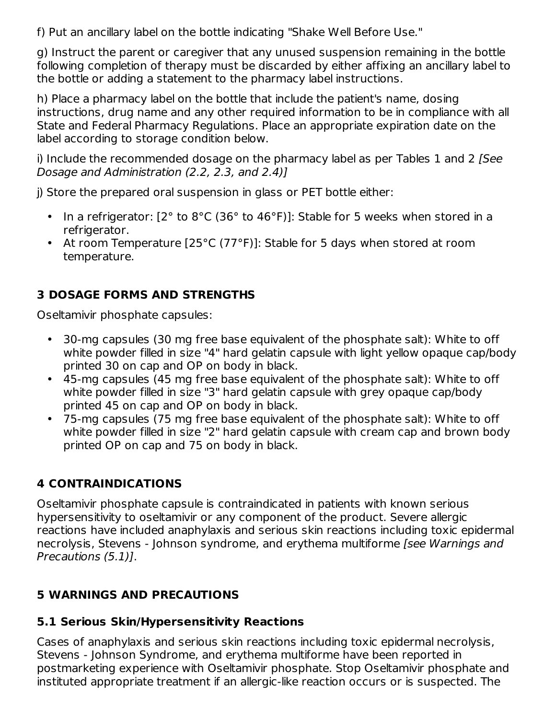f) Put an ancillary label on the bottle indicating "Shake Well Before Use."

g) Instruct the parent or caregiver that any unused suspension remaining in the bottle following completion of therapy must be discarded by either affixing an ancillary label to the bottle or adding a statement to the pharmacy label instructions.

h) Place a pharmacy label on the bottle that include the patient's name, dosing instructions, drug name and any other required information to be in compliance with all State and Federal Pharmacy Regulations. Place an appropriate expiration date on the label according to storage condition below.

i) Include the recommended dosage on the pharmacy label as per Tables 1 and 2 [See Dosage and Administration (2.2, 2.3, and 2.4)]

j) Store the prepared oral suspension in glass or PET bottle either:

- In a refrigerator: [2° to 8°C (36° to 46°F)]: Stable for 5 weeks when stored in a refrigerator.
- At room Temperature [25°C (77°F)]: Stable for 5 days when stored at room temperature.

# **3 DOSAGE FORMS AND STRENGTHS**

Oseltamivir phosphate capsules:

- 30-mg capsules (30 mg free base equivalent of the phosphate salt): White to off white powder filled in size "4" hard gelatin capsule with light yellow opaque cap/body printed 30 on cap and OP on body in black.
- 45-mg capsules (45 mg free base equivalent of the phosphate salt): White to off white powder filled in size "3" hard gelatin capsule with grey opaque cap/body printed 45 on cap and OP on body in black.
- 75-mg capsules (75 mg free base equivalent of the phosphate salt): White to off white powder filled in size "2" hard gelatin capsule with cream cap and brown body printed OP on cap and 75 on body in black.

# **4 CONTRAINDICATIONS**

Oseltamivir phosphate capsule is contraindicated in patients with known serious hypersensitivity to oseltamivir or any component of the product. Severe allergic reactions have included anaphylaxis and serious skin reactions including toxic epidermal necrolysis, Stevens - Johnson syndrome, and erythema multiforme *[see Warnings and* Precautions (5.1)].

# **5 WARNINGS AND PRECAUTIONS**

# **5.1 Serious Skin/Hypersensitivity Reactions**

Cases of anaphylaxis and serious skin reactions including toxic epidermal necrolysis, Stevens - Johnson Syndrome, and erythema multiforme have been reported in postmarketing experience with Oseltamivir phosphate. Stop Oseltamivir phosphate and instituted appropriate treatment if an allergic-like reaction occurs or is suspected. The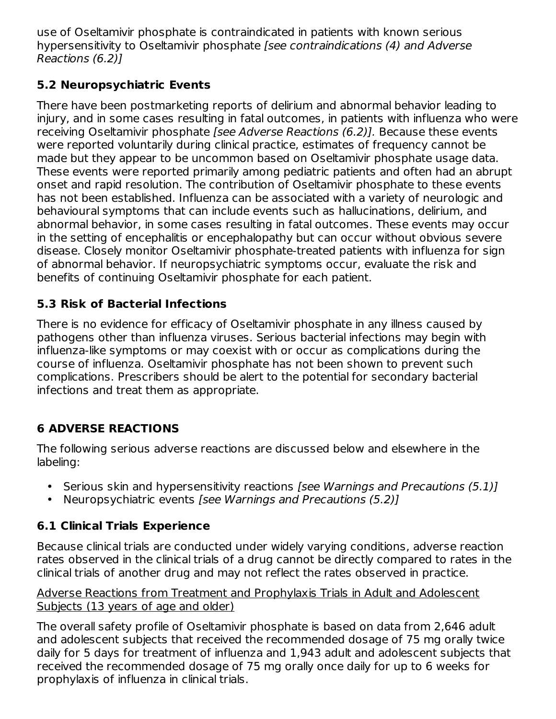use of Oseltamivir phosphate is contraindicated in patients with known serious hypersensitivity to Oseltamivir phosphate [see contraindications (4) and Adverse Reactions (6.2)]

# **5.2 Neuropsychiatric Events**

There have been postmarketing reports of delirium and abnormal behavior leading to injury, and in some cases resulting in fatal outcomes, in patients with influenza who were receiving Oseltamivir phosphate [see Adverse Reactions (6.2)]. Because these events were reported voluntarily during clinical practice, estimates of frequency cannot be made but they appear to be uncommon based on Oseltamivir phosphate usage data. These events were reported primarily among pediatric patients and often had an abrupt onset and rapid resolution. The contribution of Oseltamivir phosphate to these events has not been established. Influenza can be associated with a variety of neurologic and behavioural symptoms that can include events such as hallucinations, delirium, and abnormal behavior, in some cases resulting in fatal outcomes. These events may occur in the setting of encephalitis or encephalopathy but can occur without obvious severe disease. Closely monitor Oseltamivir phosphate-treated patients with influenza for sign of abnormal behavior. If neuropsychiatric symptoms occur, evaluate the risk and benefits of continuing Oseltamivir phosphate for each patient.

# **5.3 Risk of Bacterial Infections**

There is no evidence for efficacy of Oseltamivir phosphate in any illness caused by pathogens other than influenza viruses. Serious bacterial infections may begin with influenza-like symptoms or may coexist with or occur as complications during the course of influenza. Oseltamivir phosphate has not been shown to prevent such complications. Prescribers should be alert to the potential for secondary bacterial infections and treat them as appropriate.

# **6 ADVERSE REACTIONS**

The following serious adverse reactions are discussed below and elsewhere in the labeling:

- Serious skin and hypersensitivity reactions [see Warnings and Precautions (5.1)]
- Neuropsychiatric events [see Warnings and Precautions (5.2)]

# **6.1 Clinical Trials Experience**

Because clinical trials are conducted under widely varying conditions, adverse reaction rates observed in the clinical trials of a drug cannot be directly compared to rates in the clinical trials of another drug and may not reflect the rates observed in practice.

### Adverse Reactions from Treatment and Prophylaxis Trials in Adult and Adolescent Subjects (13 years of age and older)

The overall safety profile of Oseltamivir phosphate is based on data from 2,646 adult and adolescent subjects that received the recommended dosage of 75 mg orally twice daily for 5 days for treatment of influenza and 1,943 adult and adolescent subjects that received the recommended dosage of 75 mg orally once daily for up to 6 weeks for prophylaxis of influenza in clinical trials.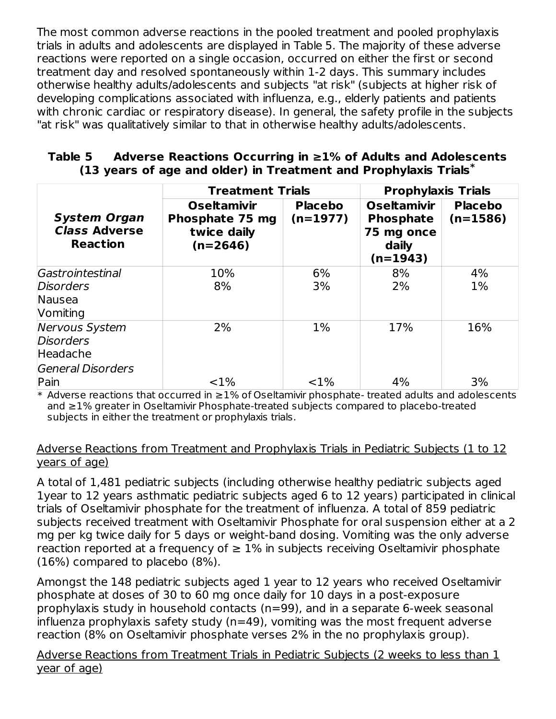The most common adverse reactions in the pooled treatment and pooled prophylaxis trials in adults and adolescents are displayed in Table 5. The majority of these adverse reactions were reported on a single occasion, occurred on either the first or second treatment day and resolved spontaneously within 1-2 days. This summary includes otherwise healthy adults/adolescents and subjects "at risk" (subjects at higher risk of developing complications associated with influenza, e.g., elderly patients and patients with chronic cardiac or respiratory disease). In general, the safety profile in the subjects "at risk" was qualitatively similar to that in otherwise healthy adults/adolescents.

### **Table 5 Adverse Reactions Occurring in ≥1% of Adults and Adolescents (13 years of age and older) in Treatment and Prophylaxis Trials \***

|                                                                            | <b>Treatment Trials</b>                                            |                              | <b>Prophylaxis Trials</b>                                                   |                            |  |
|----------------------------------------------------------------------------|--------------------------------------------------------------------|------------------------------|-----------------------------------------------------------------------------|----------------------------|--|
| <b>System Organ</b><br><b>Class Adverse</b><br><b>Reaction</b>             | <b>Oseltamivir</b><br>Phosphate 75 mg<br>twice daily<br>$(n=2646)$ | <b>Placebo</b><br>$(n=1977)$ | <b>Oseltamivir</b><br><b>Phosphate</b><br>75 mg once<br>daily<br>$(n=1943)$ | <b>Placebo</b><br>(n=1586) |  |
| Gastrointestinal<br><b>Disorders</b><br>Nausea<br>Vomiting                 | 10%<br>8%                                                          | 6%<br>3%                     | 8%<br>2%                                                                    | 4%<br>$1\%$                |  |
| <b>Nervous System</b><br><b>Disorders</b><br>Headache<br>General Disorders | 2%                                                                 | $1\%$                        | 17%                                                                         | 16%                        |  |
| Pain                                                                       | $< 1\%$                                                            | <1%                          | 4%                                                                          | 3%                         |  |

\* Adverse reactions that occurred in ≥1% of Oseltamivir phosphate- treated adults and adolescents and ≥1% greater in Oseltamivir Phosphate-treated subjects compared to placebo-treated subjects in either the treatment or prophylaxis trials.

### Adverse Reactions from Treatment and Prophylaxis Trials in Pediatric Subjects (1 to 12 years of age)

A total of 1,481 pediatric subjects (including otherwise healthy pediatric subjects aged 1year to 12 years asthmatic pediatric subjects aged 6 to 12 years) participated in clinical trials of Oseltamivir phosphate for the treatment of influenza. A total of 859 pediatric subjects received treatment with Oseltamivir Phosphate for oral suspension either at a 2 mg per kg twice daily for 5 days or weight-band dosing. Vomiting was the only adverse reaction reported at a frequency of  $\geq 1\%$  in subjects receiving Oseltamivir phosphate (16%) compared to placebo (8%).

Amongst the 148 pediatric subjects aged 1 year to 12 years who received Oseltamivir phosphate at doses of 30 to 60 mg once daily for 10 days in a post-exposure prophylaxis study in household contacts (n=99), and in a separate 6-week seasonal influenza prophylaxis safety study (n=49), vomiting was the most frequent adverse reaction (8% on Oseltamivir phosphate verses 2% in the no prophylaxis group).

Adverse Reactions from Treatment Trials in Pediatric Subjects (2 weeks to less than 1 year of age)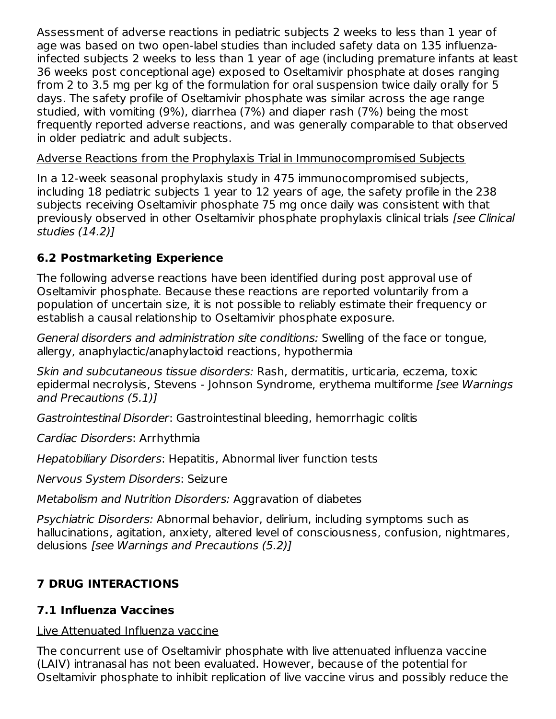Assessment of adverse reactions in pediatric subjects 2 weeks to less than 1 year of age was based on two open-label studies than included safety data on 135 influenzainfected subjects 2 weeks to less than 1 year of age (including premature infants at least 36 weeks post conceptional age) exposed to Oseltamivir phosphate at doses ranging from 2 to 3.5 mg per kg of the formulation for oral suspension twice daily orally for 5 days. The safety profile of Oseltamivir phosphate was similar across the age range studied, with vomiting (9%), diarrhea (7%) and diaper rash (7%) being the most frequently reported adverse reactions, and was generally comparable to that observed in older pediatric and adult subjects.

### Adverse Reactions from the Prophylaxis Trial in Immunocompromised Subjects

In a 12-week seasonal prophylaxis study in 475 immunocompromised subjects, including 18 pediatric subjects 1 year to 12 years of age, the safety profile in the 238 subjects receiving Oseltamivir phosphate 75 mg once daily was consistent with that previously observed in other Oseltamivir phosphate prophylaxis clinical trials [see Clinical studies (14.2)]

# **6.2 Postmarketing Experience**

The following adverse reactions have been identified during post approval use of Oseltamivir phosphate. Because these reactions are reported voluntarily from a population of uncertain size, it is not possible to reliably estimate their frequency or establish a causal relationship to Oseltamivir phosphate exposure.

General disorders and administration site conditions: Swelling of the face or tongue, allergy, anaphylactic/anaphylactoid reactions, hypothermia

Skin and subcutaneous tissue disorders: Rash, dermatitis, urticaria, eczema, toxic epidermal necrolysis, Stevens - Johnson Syndrome, erythema multiforme [see Warnings] and Precautions (5.1)]

Gastrointestinal Disorder: Gastrointestinal bleeding, hemorrhagic colitis

Cardiac Disorders: Arrhythmia

Hepatobiliary Disorders: Hepatitis, Abnormal liver function tests

Nervous System Disorders: Seizure

Metabolism and Nutrition Disorders: Aggravation of diabetes

Psychiatric Disorders: Abnormal behavior, delirium, including symptoms such as hallucinations, agitation, anxiety, altered level of consciousness, confusion, nightmares, delusions [see Warnings and Precautions (5.2)]

# **7 DRUG INTERACTIONS**

# **7.1 Influenza Vaccines**

Live Attenuated Influenza vaccine

The concurrent use of Oseltamivir phosphate with live attenuated influenza vaccine (LAIV) intranasal has not been evaluated. However, because of the potential for Oseltamivir phosphate to inhibit replication of live vaccine virus and possibly reduce the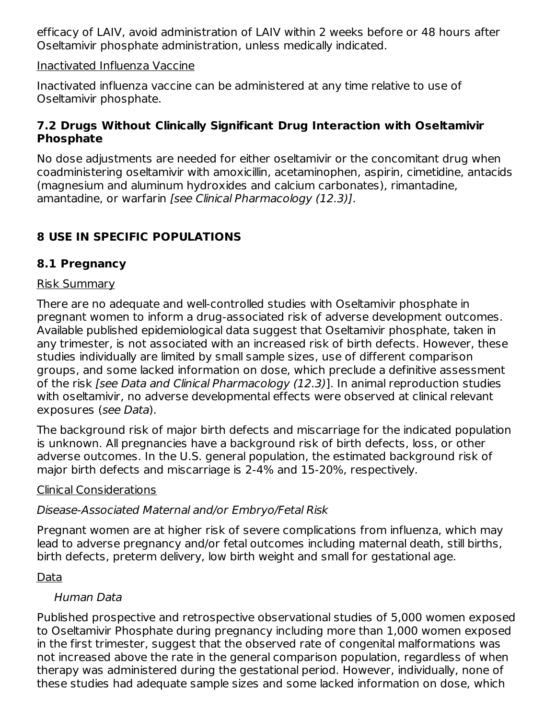efficacy of LAIV, avoid administration of LAIV within 2 weeks before or 48 hours after Oseltamivir phosphate administration, unless medically indicated.

#### Inactivated Influenza Vaccine

Inactivated influenza vaccine can be administered at any time relative to use of Oseltamivir phosphate.

### **7.2 Drugs Without Clinically Significant Drug Interaction with Oseltamivir Phosphate**

No dose adjustments are needed for either oseltamivir or the concomitant drug when coadministering oseltamivir with amoxicillin, acetaminophen, aspirin, cimetidine, antacids (magnesium and aluminum hydroxides and calcium carbonates), rimantadine, amantadine, or warfarin [see Clinical Pharmacology (12.3)].

# **8 USE IN SPECIFIC POPULATIONS**

# **8.1 Pregnancy**

### Risk Summary

There are no adequate and well-controlled studies with Oseltamivir phosphate in pregnant women to inform a drug-associated risk of adverse development outcomes. Available published epidemiological data suggest that Oseltamivir phosphate, taken in any trimester, is not associated with an increased risk of birth defects. However, these studies individually are limited by small sample sizes, use of different comparison groups, and some lacked information on dose, which preclude a definitive assessment of the risk [see Data and Clinical Pharmacology (12.3)]. In animal reproduction studies with oseltamivir, no adverse developmental effects were observed at clinical relevant exposures (see Data).

The background risk of major birth defects and miscarriage for the indicated population is unknown. All pregnancies have a background risk of birth defects, loss, or other adverse outcomes. In the U.S. general population, the estimated background risk of major birth defects and miscarriage is 2-4% and 15-20%, respectively.

### Clinical Considerations

## Disease-Associated Maternal and/or Embryo/Fetal Risk

Pregnant women are at higher risk of severe complications from influenza, which may lead to adverse pregnancy and/or fetal outcomes including maternal death, still births, birth defects, preterm delivery, low birth weight and small for gestational age.

## Data

## Human Data

Published prospective and retrospective observational studies of 5,000 women exposed to Oseltamivir Phosphate during pregnancy including more than 1,000 women exposed in the first trimester, suggest that the observed rate of congenital malformations was not increased above the rate in the general comparison population, regardless of when therapy was administered during the gestational period. However, individually, none of these studies had adequate sample sizes and some lacked information on dose, which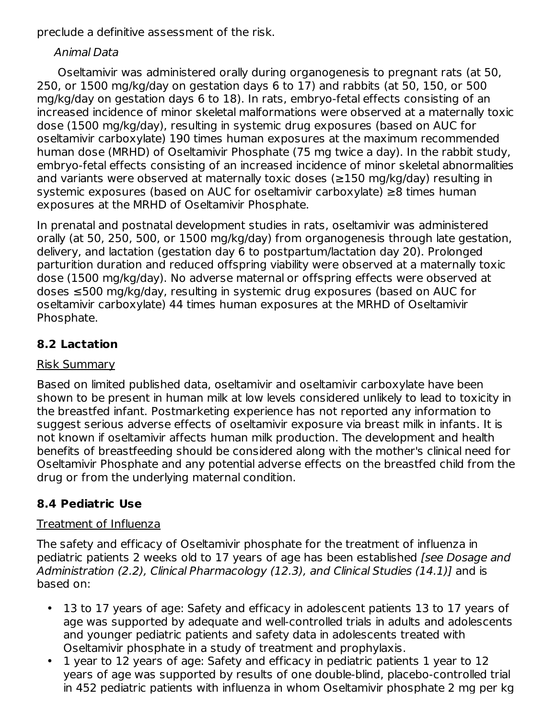preclude a definitive assessment of the risk.

### Animal Data

Oseltamivir was administered orally during organogenesis to pregnant rats (at 50, 250, or 1500 mg/kg/day on gestation days 6 to 17) and rabbits (at 50, 150, or 500 mg/kg/day on gestation days 6 to 18). In rats, embryo-fetal effects consisting of an increased incidence of minor skeletal malformations were observed at a maternally toxic dose (1500 mg/kg/day), resulting in systemic drug exposures (based on AUC for oseltamivir carboxylate) 190 times human exposures at the maximum recommended human dose (MRHD) of Oseltamivir Phosphate (75 mg twice a day). In the rabbit study, embryo-fetal effects consisting of an increased incidence of minor skeletal abnormalities and variants were observed at maternally toxic doses (≥150 mg/kg/day) resulting in systemic exposures (based on AUC for oseltamivir carboxylate) ≥8 times human exposures at the MRHD of Oseltamivir Phosphate.

In prenatal and postnatal development studies in rats, oseltamivir was administered orally (at 50, 250, 500, or 1500 mg/kg/day) from organogenesis through late gestation, delivery, and lactation (gestation day 6 to postpartum/lactation day 20). Prolonged parturition duration and reduced offspring viability were observed at a maternally toxic dose (1500 mg/kg/day). No adverse maternal or offspring effects were observed at doses ≤500 mg/kg/day, resulting in systemic drug exposures (based on AUC for oseltamivir carboxylate) 44 times human exposures at the MRHD of Oseltamivir Phosphate.

# **8.2 Lactation**

### Risk Summary

Based on limited published data, oseltamivir and oseltamivir carboxylate have been shown to be present in human milk at low levels considered unlikely to lead to toxicity in the breastfed infant. Postmarketing experience has not reported any information to suggest serious adverse effects of oseltamivir exposure via breast milk in infants. It is not known if oseltamivir affects human milk production. The development and health benefits of breastfeeding should be considered along with the mother's clinical need for Oseltamivir Phosphate and any potential adverse effects on the breastfed child from the drug or from the underlying maternal condition.

# **8.4 Pediatric Use**

### Treatment of Influenza

The safety and efficacy of Oseltamivir phosphate for the treatment of influenza in pediatric patients 2 weeks old to 17 years of age has been established [see Dosage and Administration (2.2), Clinical Pharmacology (12.3), and Clinical Studies (14.1)] and is based on:

- 13 to 17 years of age: Safety and efficacy in adolescent patients 13 to 17 years of age was supported by adequate and well-controlled trials in adults and adolescents and younger pediatric patients and safety data in adolescents treated with Oseltamivir phosphate in a study of treatment and prophylaxis.
- 1 year to 12 years of age: Safety and efficacy in pediatric patients 1 year to 12 years of age was supported by results of one double-blind, placebo-controlled trial in 452 pediatric patients with influenza in whom Oseltamivir phosphate 2 mg per kg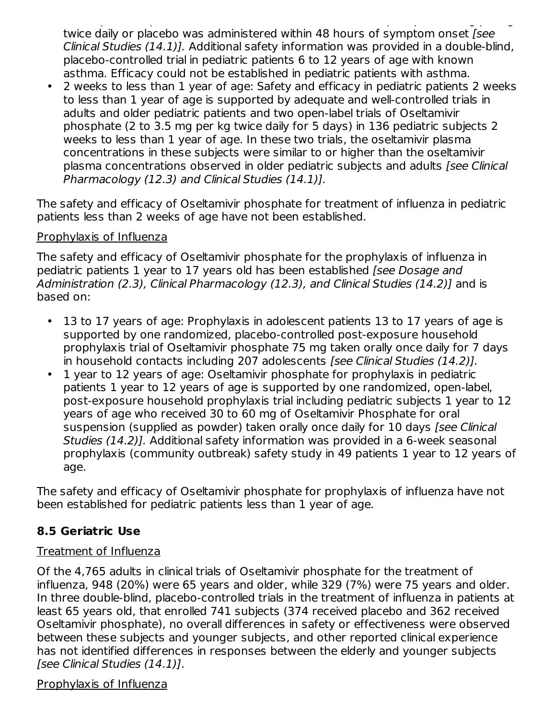in 452 pediatric patients with influenza in whom Oseltamivir phosphate 2 mg per kg twice daily or placebo was administered within 48 hours of symptom onset [see Clinical Studies (14.1)]. Additional safety information was provided in a double-blind, placebo-controlled trial in pediatric patients 6 to 12 years of age with known asthma. Efficacy could not be established in pediatric patients with asthma.

• 2 weeks to less than 1 year of age: Safety and efficacy in pediatric patients 2 weeks to less than 1 year of age is supported by adequate and well-controlled trials in adults and older pediatric patients and two open-label trials of Oseltamivir phosphate (2 to 3.5 mg per kg twice daily for 5 days) in 136 pediatric subjects 2 weeks to less than 1 year of age. In these two trials, the oseltamivir plasma concentrations in these subjects were similar to or higher than the oseltamivir plasma concentrations observed in older pediatric subjects and adults [see Clinical Pharmacology (12.3) and Clinical Studies (14.1)].

The safety and efficacy of Oseltamivir phosphate for treatment of influenza in pediatric patients less than 2 weeks of age have not been established.

### Prophylaxis of Influenza

The safety and efficacy of Oseltamivir phosphate for the prophylaxis of influenza in pediatric patients 1 year to 17 years old has been established [see Dosage and Administration (2.3), Clinical Pharmacology (12.3), and Clinical Studies (14.2)] and is based on:

- 13 to 17 years of age: Prophylaxis in adolescent patients 13 to 17 years of age is supported by one randomized, placebo-controlled post-exposure household prophylaxis trial of Oseltamivir phosphate 75 mg taken orally once daily for 7 days in household contacts including 207 adolescents [see Clinical Studies (14.2)].
- 1 year to 12 years of age: Oseltamivir phosphate for prophylaxis in pediatric patients 1 year to 12 years of age is supported by one randomized, open-label, post-exposure household prophylaxis trial including pediatric subjects 1 year to 12 years of age who received 30 to 60 mg of Oseltamivir Phosphate for oral suspension (supplied as powder) taken orally once daily for 10 days (see Clinical Studies (14.2)]. Additional safety information was provided in a 6-week seasonal prophylaxis (community outbreak) safety study in 49 patients 1 year to 12 years of age.

The safety and efficacy of Oseltamivir phosphate for prophylaxis of influenza have not been established for pediatric patients less than 1 year of age.

## **8.5 Geriatric Use**

## Treatment of Influenza

Of the 4,765 adults in clinical trials of Oseltamivir phosphate for the treatment of influenza, 948 (20%) were 65 years and older, while 329 (7%) were 75 years and older. In three double-blind, placebo-controlled trials in the treatment of influenza in patients at least 65 years old, that enrolled 741 subjects (374 received placebo and 362 received Oseltamivir phosphate), no overall differences in safety or effectiveness were observed between these subjects and younger subjects, and other reported clinical experience has not identified differences in responses between the elderly and younger subjects [see Clinical Studies (14.1)].

### Prophylaxis of Influenza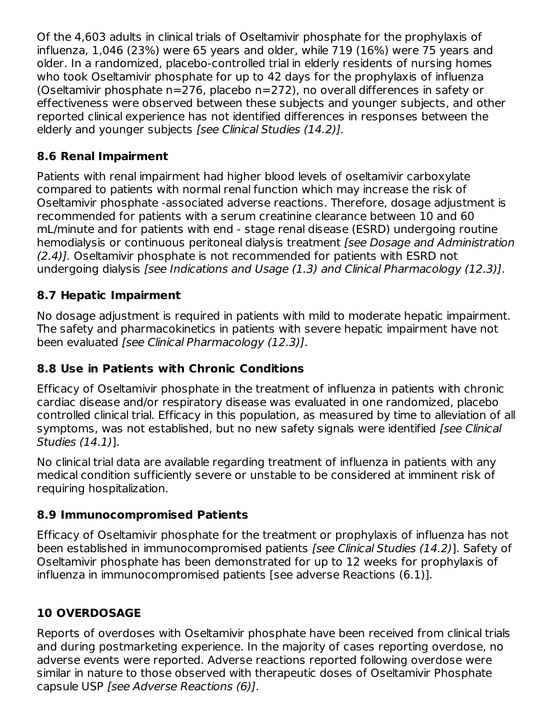Of the 4,603 adults in clinical trials of Oseltamivir phosphate for the prophylaxis of influenza, 1,046 (23%) were 65 years and older, while 719 (16%) were 75 years and older. In a randomized, placebo-controlled trial in elderly residents of nursing homes who took Oseltamivir phosphate for up to 42 days for the prophylaxis of influenza (Oseltamivir phosphate n=276, placebo n=272), no overall differences in safety or effectiveness were observed between these subjects and younger subjects, and other reported clinical experience has not identified differences in responses between the elderly and younger subjects [see Clinical Studies (14.2)].

# **8.6 Renal Impairment**

Patients with renal impairment had higher blood levels of oseltamivir carboxylate compared to patients with normal renal function which may increase the risk of Oseltamivir phosphate -associated adverse reactions. Therefore, dosage adjustment is recommended for patients with a serum creatinine clearance between 10 and 60 mL/minute and for patients with end - stage renal disease (ESRD) undergoing routine hemodialysis or continuous peritoneal dialysis treatment (see Dosage and Administration (2.4)]. Oseltamivir phosphate is not recommended for patients with ESRD not undergoing dialysis [see Indications and Usage (1.3) and Clinical Pharmacology (12.3)].

# **8.7 Hepatic Impairment**

No dosage adjustment is required in patients with mild to moderate hepatic impairment. The safety and pharmacokinetics in patients with severe hepatic impairment have not been evaluated [see Clinical Pharmacology (12.3)].

# **8.8 Use in Patients with Chronic Conditions**

Efficacy of Oseltamivir phosphate in the treatment of influenza in patients with chronic cardiac disease and/or respiratory disease was evaluated in one randomized, placebo controlled clinical trial. Efficacy in this population, as measured by time to alleviation of all symptoms, was not established, but no new safety signals were identified [see Clinical] Studies (14.1)].

No clinical trial data are available regarding treatment of influenza in patients with any medical condition sufficiently severe or unstable to be considered at imminent risk of requiring hospitalization.

## **8.9 Immunocompromised Patients**

Efficacy of Oseltamivir phosphate for the treatment or prophylaxis of influenza has not been established in immunocompromised patients [see Clinical Studies (14.2)]. Safety of Oseltamivir phosphate has been demonstrated for up to 12 weeks for prophylaxis of influenza in immunocompromised patients [see adverse Reactions (6.1)].

# **10 OVERDOSAGE**

Reports of overdoses with Oseltamivir phosphate have been received from clinical trials and during postmarketing experience. In the majority of cases reporting overdose, no adverse events were reported. Adverse reactions reported following overdose were similar in nature to those observed with therapeutic doses of Oseltamivir Phosphate capsule USP [see Adverse Reactions (6)].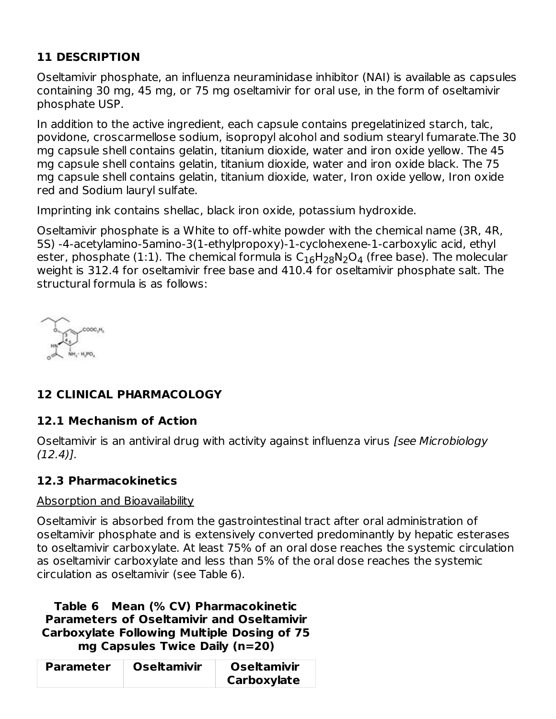# **11 DESCRIPTION**

Oseltamivir phosphate, an influenza neuraminidase inhibitor (NAI) is available as capsules containing 30 mg, 45 mg, or 75 mg oseltamivir for oral use, in the form of oseltamivir phosphate USP.

In addition to the active ingredient, each capsule contains pregelatinized starch, talc, povidone, croscarmellose sodium, isopropyl alcohol and sodium stearyl fumarate.The 30 mg capsule shell contains gelatin, titanium dioxide, water and iron oxide yellow. The 45 mg capsule shell contains gelatin, titanium dioxide, water and iron oxide black. The 75 mg capsule shell contains gelatin, titanium dioxide, water, Iron oxide yellow, Iron oxide red and Sodium lauryl sulfate.

Imprinting ink contains shellac, black iron oxide, potassium hydroxide.

Oseltamivir phosphate is a White to off-white powder with the chemical name (3R, 4R, 5S) -4-acetylamino-5amino-3(1-ethylpropoxy)-1-cyclohexene-1-carboxylic acid, ethyl ester, phosphate (1:1). The chemical formula is  $\mathsf{C}_{16}\mathsf{H}_{28}\mathsf{N}_2\mathsf{O}_4$  (free base). The molecular weight is 312.4 for oseltamivir free base and 410.4 for oseltamivir phosphate salt. The structural formula is as follows:

COOC.H.

# **12 CLINICAL PHARMACOLOGY**

## **12.1 Mechanism of Action**

Oseltamivir is an antiviral drug with activity against influenza virus [see Microbiology  $(12.4)$ .

## **12.3 Pharmacokinetics**

### Absorption and Bioavailability

Oseltamivir is absorbed from the gastrointestinal tract after oral administration of oseltamivir phosphate and is extensively converted predominantly by hepatic esterases to oseltamivir carboxylate. At least 75% of an oral dose reaches the systemic circulation as oseltamivir carboxylate and less than 5% of the oral dose reaches the systemic circulation as oseltamivir (see Table 6).

#### **Table 6 Mean (% CV) Pharmacokinetic Parameters of Oseltamivir and Oseltamivir Carboxylate Following Multiple Dosing of 75 mg Capsules Twice Daily (n=20)**

| <b>Parameter</b> | <b>Oseltamivir</b> | <b>Oseltamivir</b> |
|------------------|--------------------|--------------------|
|                  |                    | Carboxylate        |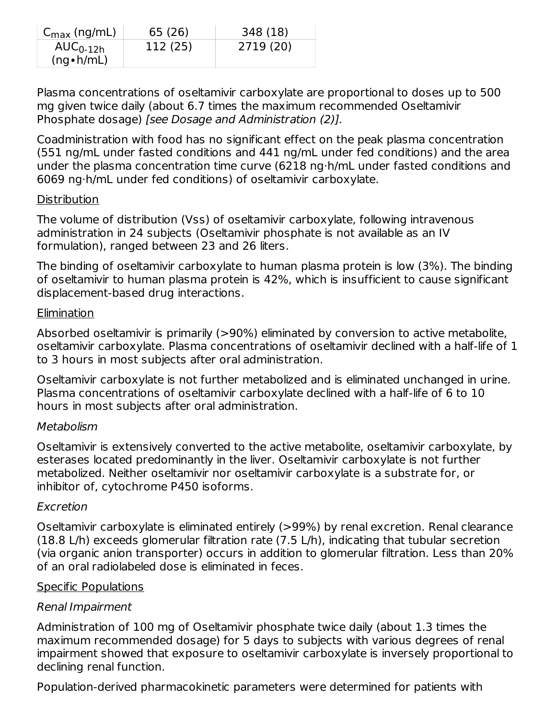| $C_{\text{max}}$ (ng/mL) | 65 (26)  | 348 (18)  |
|--------------------------|----------|-----------|
| $AUC_{0-12h}$            | 112 (25) | 2719 (20) |
| $(ng \cdot h/mL)$        |          |           |

Plasma concentrations of oseltamivir carboxylate are proportional to doses up to 500 mg given twice daily (about 6.7 times the maximum recommended Oseltamivir Phosphate dosage) [see Dosage and Administration (2)].

Coadministration with food has no significant effect on the peak plasma concentration (551 ng/mL under fasted conditions and 441 ng/mL under fed conditions) and the area under the plasma concentration time curve (6218 ng·h/mL under fasted conditions and 6069 ng·h/mL under fed conditions) of oseltamivir carboxylate.

#### **Distribution**

The volume of distribution (Vss) of oseltamivir carboxylate, following intravenous administration in 24 subjects (Oseltamivir phosphate is not available as an IV formulation), ranged between 23 and 26 liters.

The binding of oseltamivir carboxylate to human plasma protein is low (3%). The binding of oseltamivir to human plasma protein is 42%, which is insufficient to cause significant displacement-based drug interactions.

### **Elimination**

Absorbed oseltamivir is primarily (>90%) eliminated by conversion to active metabolite, oseltamivir carboxylate. Plasma concentrations of oseltamivir declined with a half-life of 1 to 3 hours in most subjects after oral administration.

Oseltamivir carboxylate is not further metabolized and is eliminated unchanged in urine. Plasma concentrations of oseltamivir carboxylate declined with a half-life of 6 to 10 hours in most subjects after oral administration.

### Metabolism

Oseltamivir is extensively converted to the active metabolite, oseltamivir carboxylate, by esterases located predominantly in the liver. Oseltamivir carboxylate is not further metabolized. Neither oseltamivir nor oseltamivir carboxylate is a substrate for, or inhibitor of, cytochrome P450 isoforms.

### Excretion

Oseltamivir carboxylate is eliminated entirely (>99%) by renal excretion. Renal clearance (18.8 L/h) exceeds glomerular filtration rate (7.5 L/h), indicating that tubular secretion (via organic anion transporter) occurs in addition to glomerular filtration. Less than 20% of an oral radiolabeled dose is eliminated in feces.

### Specific Populations

### Renal Impairment

Administration of 100 mg of Oseltamivir phosphate twice daily (about 1.3 times the maximum recommended dosage) for 5 days to subjects with various degrees of renal impairment showed that exposure to oseltamivir carboxylate is inversely proportional to declining renal function.

Population-derived pharmacokinetic parameters were determined for patients with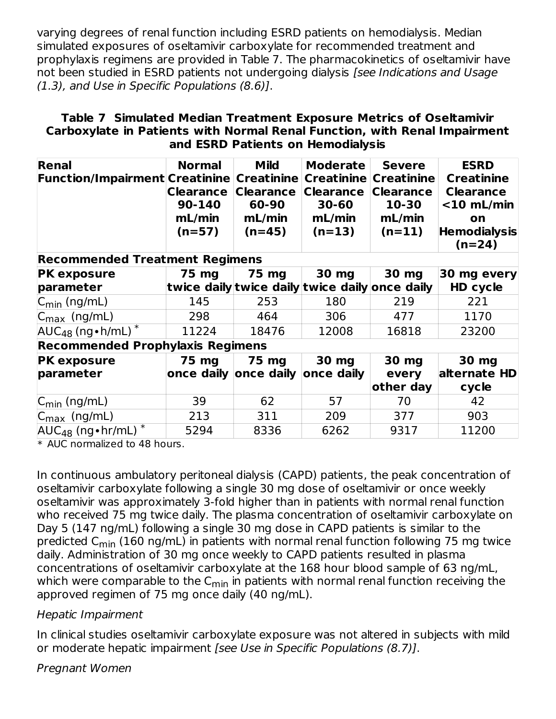varying degrees of renal function including ESRD patients on hemodialysis. Median simulated exposures of oseltamivir carboxylate for recommended treatment and prophylaxis regimens are provided in Table 7. The pharmacokinetics of oseltamivir have not been studied in ESRD patients not undergoing dialysis [see Indications and Usage (1.3), and Use in Specific Populations (8.6)].

#### **Table 7 Simulated Median Treatment Exposure Metrics of Oseltamivir Carboxylate in Patients with Normal Renal Function, with Renal Impairment and ESRD Patients on Hemodialysis**

| Renal<br> Function/Impairment Creatinine   Creatinine | <b>Normal</b><br><b>Clearance</b><br>90-140<br>mL/min<br>$(n=57)$ | <b>Mild</b><br><b>Clearance</b><br>60-90<br>mL/min<br>$(n=45)$ | <b>Moderate</b><br><b>Creatinine</b><br><b>Clearance</b><br>30-60<br>mL/min<br>$(n=13)$ | <b>Severe</b><br><b>Creatinine</b><br><b>Clearance</b><br>10-30<br>mL/min<br>$(n=11)$ | <b>ESRD</b><br><b>Creatinine</b><br><b>Clearance</b><br>$<$ 10 mL/min<br>on<br><b>Hemodialysis</b><br>$(n=24)$ |
|-------------------------------------------------------|-------------------------------------------------------------------|----------------------------------------------------------------|-----------------------------------------------------------------------------------------|---------------------------------------------------------------------------------------|----------------------------------------------------------------------------------------------------------------|
| <b>Recommended Treatment Regimens</b>                 |                                                                   |                                                                |                                                                                         |                                                                                       |                                                                                                                |
| <b>PK exposure</b>                                    | 75 mg                                                             | 75 mg                                                          | 30 mg                                                                                   | 30 mg                                                                                 | 30 mg every                                                                                                    |
| parameter                                             |                                                                   |                                                                | twice daily twice daily twice daily once daily                                          |                                                                                       | HD cycle                                                                                                       |
| $ C_{min}$ (ng/mL)                                    | 145                                                               | 253                                                            | 180                                                                                     | 219                                                                                   | 221                                                                                                            |
| $ C_{\text{max}}(ng/mL) $                             | 298                                                               | 464                                                            | 306                                                                                     | 477                                                                                   | 1170                                                                                                           |
| $AUC_{48}$ (ng • h/mL) $\overline{ }$                 | 11224                                                             | 18476                                                          | 12008                                                                                   | 16818                                                                                 | 23200                                                                                                          |
| <b>Recommended Prophylaxis Regimens</b>               |                                                                   |                                                                |                                                                                         |                                                                                       |                                                                                                                |
| <b>PK exposure</b><br>parameter                       | 75 mg                                                             | 75 mg<br>once daily once daily once daily                      | 30 mg                                                                                   | 30 mg<br>every                                                                        | 30 mg<br>alternate HD                                                                                          |
|                                                       |                                                                   |                                                                |                                                                                         | other day                                                                             | cycle                                                                                                          |
| $ C_{\text{min}}$ (ng/mL)                             | 39                                                                | 62                                                             | 57                                                                                      | 70                                                                                    | 42                                                                                                             |
| $ C_{\text{max}}\rangle$ (ng/mL)                      | 213                                                               | 311                                                            | 209                                                                                     | 377                                                                                   | 903                                                                                                            |
| $AUC_{48}$ (ng • hr/mL) $*$                           | 5294                                                              | 8336                                                           | 6262                                                                                    | 9317                                                                                  | 11200                                                                                                          |

\* AUC normalized to 48 hours.

In continuous ambulatory peritoneal dialysis (CAPD) patients, the peak concentration of oseltamivir carboxylate following a single 30 mg dose of oseltamivir or once weekly oseltamivir was approximately 3-fold higher than in patients with normal renal function who received 75 mg twice daily. The plasma concentration of oseltamivir carboxylate on Day 5 (147 ng/mL) following a single 30 mg dose in CAPD patients is similar to the predicted C<sub>min</sub> (160 ng/mL) in patients with normal renal function following 75 mg twice daily. Administration of 30 mg once weekly to CAPD patients resulted in plasma concentrations of oseltamivir carboxylate at the 168 hour blood sample of 63 ng/mL, which were comparable to the C<sub>min</sub> in patients with normal renal function receiving the approved regimen of 75 mg once daily (40 ng/mL).

### Hepatic Impairment

In clinical studies oseltamivir carboxylate exposure was not altered in subjects with mild or moderate hepatic impairment [see Use in Specific Populations (8.7)].

Pregnant Women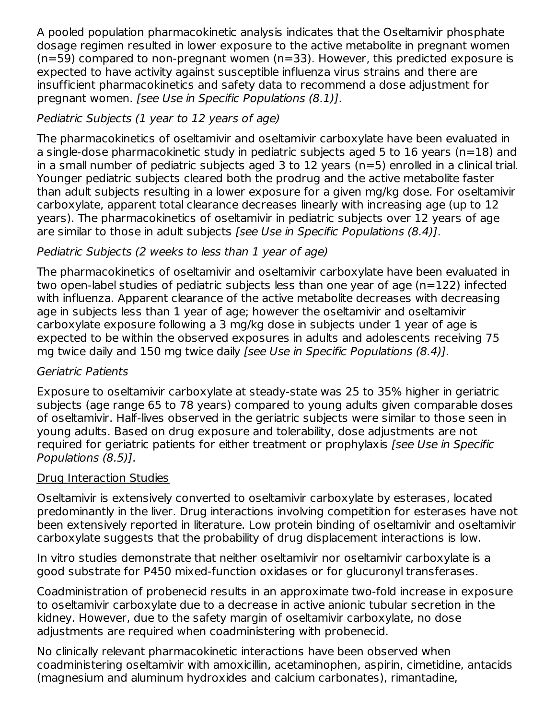A pooled population pharmacokinetic analysis indicates that the Oseltamivir phosphate dosage regimen resulted in lower exposure to the active metabolite in pregnant women (n=59) compared to non-pregnant women (n=33). However, this predicted exposure is expected to have activity against susceptible influenza virus strains and there are insufficient pharmacokinetics and safety data to recommend a dose adjustment for pregnant women. [see Use in Specific Populations (8.1)].

# Pediatric Subjects (1 year to 12 years of age)

The pharmacokinetics of oseltamivir and oseltamivir carboxylate have been evaluated in a single-dose pharmacokinetic study in pediatric subjects aged 5 to 16 years (n=18) and in a small number of pediatric subjects aged 3 to 12 years (n=5) enrolled in a clinical trial. Younger pediatric subjects cleared both the prodrug and the active metabolite faster than adult subjects resulting in a lower exposure for a given mg/kg dose. For oseltamivir carboxylate, apparent total clearance decreases linearly with increasing age (up to 12 years). The pharmacokinetics of oseltamivir in pediatric subjects over 12 years of age are similar to those in adult subjects [see Use in Specific Populations (8.4)].

# Pediatric Subjects (2 weeks to less than 1 year of age)

The pharmacokinetics of oseltamivir and oseltamivir carboxylate have been evaluated in two open-label studies of pediatric subjects less than one year of age (n=122) infected with influenza. Apparent clearance of the active metabolite decreases with decreasing age in subjects less than 1 year of age; however the oseltamivir and oseltamivir carboxylate exposure following a 3 mg/kg dose in subjects under 1 year of age is expected to be within the observed exposures in adults and adolescents receiving 75 mg twice daily and 150 mg twice daily [see Use in Specific Populations (8.4)].

## Geriatric Patients

Exposure to oseltamivir carboxylate at steady-state was 25 to 35% higher in geriatric subjects (age range 65 to 78 years) compared to young adults given comparable doses of oseltamivir. Half-lives observed in the geriatric subjects were similar to those seen in young adults. Based on drug exposure and tolerability, dose adjustments are not required for geriatric patients for either treatment or prophylaxis [see Use in Specific Populations (8.5)].

### Drug Interaction Studies

Oseltamivir is extensively converted to oseltamivir carboxylate by esterases, located predominantly in the liver. Drug interactions involving competition for esterases have not been extensively reported in literature. Low protein binding of oseltamivir and oseltamivir carboxylate suggests that the probability of drug displacement interactions is low.

In vitro studies demonstrate that neither oseltamivir nor oseltamivir carboxylate is a good substrate for P450 mixed-function oxidases or for glucuronyl transferases.

Coadministration of probenecid results in an approximate two-fold increase in exposure to oseltamivir carboxylate due to a decrease in active anionic tubular secretion in the kidney. However, due to the safety margin of oseltamivir carboxylate, no dose adjustments are required when coadministering with probenecid.

No clinically relevant pharmacokinetic interactions have been observed when coadministering oseltamivir with amoxicillin, acetaminophen, aspirin, cimetidine, antacids (magnesium and aluminum hydroxides and calcium carbonates), rimantadine,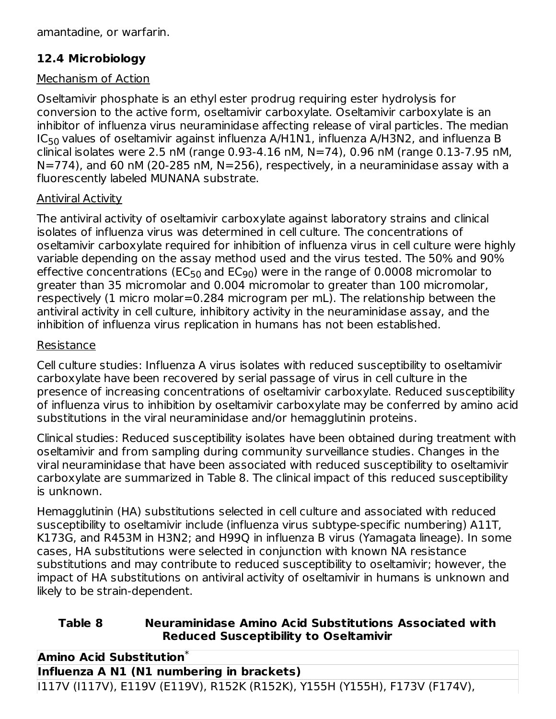amantadine, or warfarin.

# **12.4 Microbiology**

## Mechanism of Action

Oseltamivir phosphate is an ethyl ester prodrug requiring ester hydrolysis for conversion to the active form, oseltamivir carboxylate. Oseltamivir carboxylate is an inhibitor of influenza virus neuraminidase affecting release of viral particles. The median IC $_{50}$  values of oseltamivir against influenza A/H1N1, influenza A/H3N2, and influenza B clinical isolates were 2.5 nM (range 0.93-4.16 nM, N=74), 0.96 nM (range 0.13-7.95 nM,  $N=774$ ), and 60 nM (20-285 nM,  $N=256$ ), respectively, in a neuraminidase assay with a fluorescently labeled MUNANA substrate.

### Antiviral Activity

The antiviral activity of oseltamivir carboxylate against laboratory strains and clinical isolates of influenza virus was determined in cell culture. The concentrations of oseltamivir carboxylate required for inhibition of influenza virus in cell culture were highly variable depending on the assay method used and the virus tested. The 50% and 90% effective concentrations (EC<sub>50</sub> and EC<sub>90</sub>) were in the range of 0.0008 micromolar to greater than 35 micromolar and 0.004 micromolar to greater than 100 micromolar, respectively (1 micro molar=0.284 microgram per mL). The relationship between the antiviral activity in cell culture, inhibitory activity in the neuraminidase assay, and the inhibition of influenza virus replication in humans has not been established.

### Resistance

Cell culture studies: Influenza A virus isolates with reduced susceptibility to oseltamivir carboxylate have been recovered by serial passage of virus in cell culture in the presence of increasing concentrations of oseltamivir carboxylate. Reduced susceptibility of influenza virus to inhibition by oseltamivir carboxylate may be conferred by amino acid substitutions in the viral neuraminidase and/or hemagglutinin proteins.

Clinical studies: Reduced susceptibility isolates have been obtained during treatment with oseltamivir and from sampling during community surveillance studies. Changes in the viral neuraminidase that have been associated with reduced susceptibility to oseltamivir carboxylate are summarized in Table 8. The clinical impact of this reduced susceptibility is unknown.

Hemagglutinin (HA) substitutions selected in cell culture and associated with reduced susceptibility to oseltamivir include (influenza virus subtype-specific numbering) A11T, K173G, and R453M in H3N2; and H99Q in influenza B virus (Yamagata lineage). In some cases, HA substitutions were selected in conjunction with known NA resistance substitutions and may contribute to reduced susceptibility to oseltamivir; however, the impact of HA substitutions on antiviral activity of oseltamivir in humans is unknown and likely to be strain-dependent.

### **Table 8 Neuraminidase Amino Acid Substitutions Associated with Reduced Susceptibility to Oseltamivir**

**Amino Acid Substitution** \***Influenza A N1 (N1 numbering in brackets)**

I117V (I117V), E119V (E119V), R152K (R152K), Y155H (Y155H), F173V (F174V),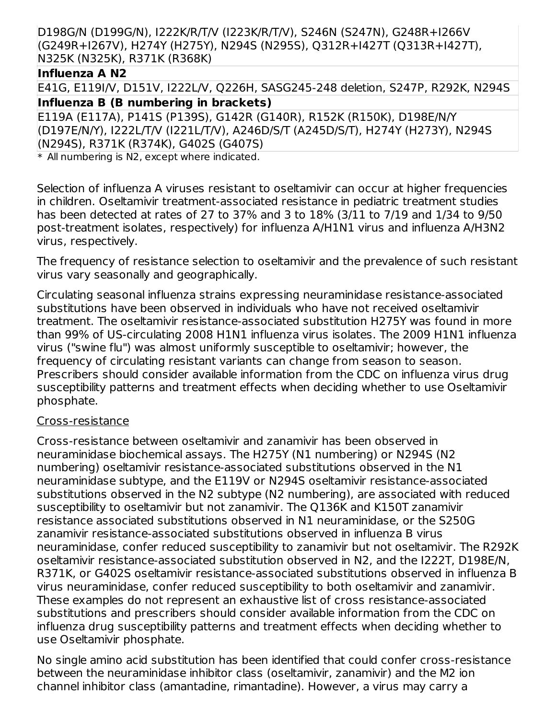D198G/N (D199G/N), I222K/R/T/V (I223K/R/T/V), S246N (S247N), G248R+I266V (G249R+I267V), H274Y (H275Y), N294S (N295S), Q312R+I427T (Q313R+I427T), N325K (N325K), R371K (R368K)

### **Influenza A N2**

E41G, E119I/V, D151V, I222L/V, Q226H, SASG245-248 deletion, S247P, R292K, N294S **Influenza B (B numbering in brackets)**

E119A (E117A), P141S (P139S), G142R (G140R), R152K (R150K), D198E/N/Y (D197E/N/Y), I222L/T/V (I221L/T/V), A246D/S/T (A245D/S/T), H274Y (H273Y), N294S (N294S), R371K (R374K), G402S (G407S)

\* All numbering is N2, except where indicated.

Selection of influenza A viruses resistant to oseltamivir can occur at higher frequencies in children. Oseltamivir treatment-associated resistance in pediatric treatment studies has been detected at rates of 27 to 37% and 3 to 18% (3/11 to 7/19 and 1/34 to 9/50 post-treatment isolates, respectively) for influenza A/H1N1 virus and influenza A/H3N2 virus, respectively.

The frequency of resistance selection to oseltamivir and the prevalence of such resistant virus vary seasonally and geographically.

Circulating seasonal influenza strains expressing neuraminidase resistance-associated substitutions have been observed in individuals who have not received oseltamivir treatment. The oseltamivir resistance-associated substitution H275Y was found in more than 99% of US-circulating 2008 H1N1 influenza virus isolates. The 2009 H1N1 influenza virus ("swine flu") was almost uniformly susceptible to oseltamivir; however, the frequency of circulating resistant variants can change from season to season. Prescribers should consider available information from the CDC on influenza virus drug susceptibility patterns and treatment effects when deciding whether to use Oseltamivir phosphate.

### Cross-resistance

Cross-resistance between oseltamivir and zanamivir has been observed in neuraminidase biochemical assays. The H275Y (N1 numbering) or N294S (N2 numbering) oseltamivir resistance-associated substitutions observed in the N1 neuraminidase subtype, and the E119V or N294S oseltamivir resistance-associated substitutions observed in the N2 subtype (N2 numbering), are associated with reduced susceptibility to oseltamivir but not zanamivir. The Q136K and K150T zanamivir resistance associated substitutions observed in N1 neuraminidase, or the S250G zanamivir resistance-associated substitutions observed in influenza B virus neuraminidase, confer reduced susceptibility to zanamivir but not oseltamivir. The R292K oseltamivir resistance-associated substitution observed in N2, and the I222T, D198E/N, R371K, or G402S oseltamivir resistance-associated substitutions observed in influenza B virus neuraminidase, confer reduced susceptibility to both oseltamivir and zanamivir. These examples do not represent an exhaustive list of cross resistance-associated substitutions and prescribers should consider available information from the CDC on influenza drug susceptibility patterns and treatment effects when deciding whether to use Oseltamivir phosphate.

No single amino acid substitution has been identified that could confer cross-resistance between the neuraminidase inhibitor class (oseltamivir, zanamivir) and the M2 ion channel inhibitor class (amantadine, rimantadine). However, a virus may carry a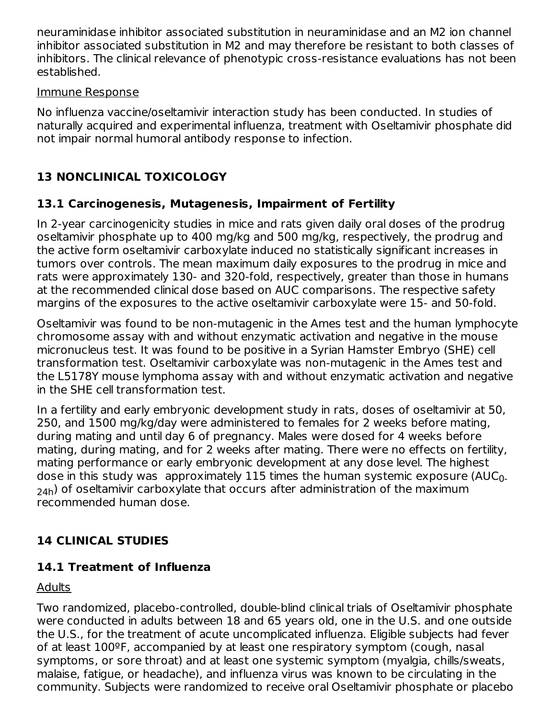neuraminidase inhibitor associated substitution in neuraminidase and an M2 ion channel inhibitor associated substitution in M2 and may therefore be resistant to both classes of inhibitors. The clinical relevance of phenotypic cross-resistance evaluations has not been established.

#### Immune Response

No influenza vaccine/oseltamivir interaction study has been conducted. In studies of naturally acquired and experimental influenza, treatment with Oseltamivir phosphate did not impair normal humoral antibody response to infection.

# **13 NONCLINICAL TOXICOLOGY**

# **13.1 Carcinogenesis, Mutagenesis, Impairment of Fertility**

In 2-year carcinogenicity studies in mice and rats given daily oral doses of the prodrug oseltamivir phosphate up to 400 mg/kg and 500 mg/kg, respectively, the prodrug and the active form oseltamivir carboxylate induced no statistically significant increases in tumors over controls. The mean maximum daily exposures to the prodrug in mice and rats were approximately 130- and 320-fold, respectively, greater than those in humans at the recommended clinical dose based on AUC comparisons. The respective safety margins of the exposures to the active oseltamivir carboxylate were 15- and 50-fold.

Oseltamivir was found to be non-mutagenic in the Ames test and the human lymphocyte chromosome assay with and without enzymatic activation and negative in the mouse micronucleus test. It was found to be positive in a Syrian Hamster Embryo (SHE) cell transformation test. Oseltamivir carboxylate was non-mutagenic in the Ames test and the L5178Y mouse lymphoma assay with and without enzymatic activation and negative in the SHE cell transformation test.

In a fertility and early embryonic development study in rats, doses of oseltamivir at 50, 250, and 1500 mg/kg/day were administered to females for 2 weeks before mating, during mating and until day 6 of pregnancy. Males were dosed for 4 weeks before mating, during mating, and for 2 weeks after mating. There were no effects on fertility, mating performance or early embryonic development at any dose level. The highest dose in this study was  $\,$  approximately 115 times the human systemic exposure (AUC $_{0}$ .  $_{\mathsf{24h}}$ ) of oseltamivir carboxylate that occurs after administration of the maximum recommended human dose.

# **14 CLINICAL STUDIES**

# **14.1 Treatment of Influenza**

## Adults

Two randomized, placebo-controlled, double-blind clinical trials of Oseltamivir phosphate were conducted in adults between 18 and 65 years old, one in the U.S. and one outside the U.S., for the treatment of acute uncomplicated influenza. Eligible subjects had fever of at least 100ºF, accompanied by at least one respiratory symptom (cough, nasal symptoms, or sore throat) and at least one systemic symptom (myalgia, chills/sweats, malaise, fatigue, or headache), and influenza virus was known to be circulating in the community. Subjects were randomized to receive oral Oseltamivir phosphate or placebo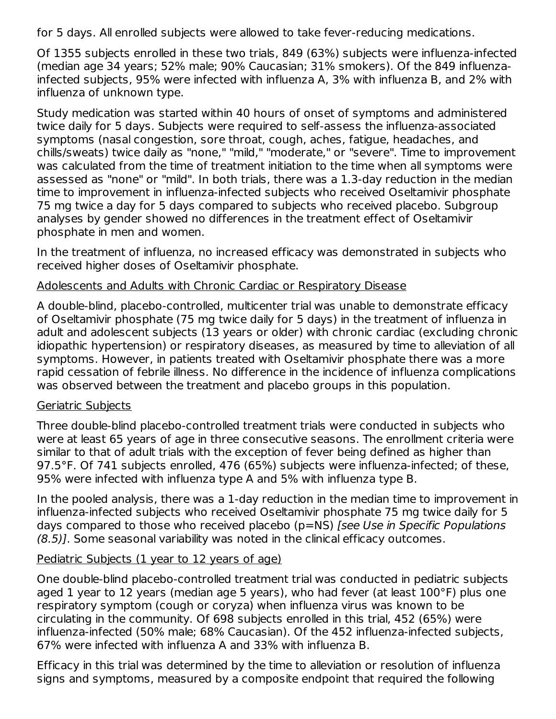for 5 days. All enrolled subjects were allowed to take fever-reducing medications.

Of 1355 subjects enrolled in these two trials, 849 (63%) subjects were influenza-infected (median age 34 years; 52% male; 90% Caucasian; 31% smokers). Of the 849 influenzainfected subjects, 95% were infected with influenza A, 3% with influenza B, and 2% with influenza of unknown type.

Study medication was started within 40 hours of onset of symptoms and administered twice daily for 5 days. Subjects were required to self-assess the influenza-associated symptoms (nasal congestion, sore throat, cough, aches, fatigue, headaches, and chills/sweats) twice daily as "none," "mild," "moderate," or "severe". Time to improvement was calculated from the time of treatment initiation to the time when all symptoms were assessed as "none" or "mild". In both trials, there was a 1.3-day reduction in the median time to improvement in influenza-infected subjects who received Oseltamivir phosphate 75 mg twice a day for 5 days compared to subjects who received placebo. Subgroup analyses by gender showed no differences in the treatment effect of Oseltamivir phosphate in men and women.

In the treatment of influenza, no increased efficacy was demonstrated in subjects who received higher doses of Oseltamivir phosphate.

#### Adolescents and Adults with Chronic Cardiac or Respiratory Disease

A double-blind, placebo-controlled, multicenter trial was unable to demonstrate efficacy of Oseltamivir phosphate (75 mg twice daily for 5 days) in the treatment of influenza in adult and adolescent subjects (13 years or older) with chronic cardiac (excluding chronic idiopathic hypertension) or respiratory diseases, as measured by time to alleviation of all symptoms. However, in patients treated with Oseltamivir phosphate there was a more rapid cessation of febrile illness. No difference in the incidence of influenza complications was observed between the treatment and placebo groups in this population.

#### Geriatric Subjects

Three double-blind placebo-controlled treatment trials were conducted in subjects who were at least 65 years of age in three consecutive seasons. The enrollment criteria were similar to that of adult trials with the exception of fever being defined as higher than 97.5°F. Of 741 subjects enrolled, 476 (65%) subjects were influenza-infected; of these, 95% were infected with influenza type A and 5% with influenza type B.

In the pooled analysis, there was a 1-day reduction in the median time to improvement in influenza-infected subjects who received Oseltamivir phosphate 75 mg twice daily for 5 days compared to those who received placebo (p=NS) [see Use in Specific Populations (8.5)]. Some seasonal variability was noted in the clinical efficacy outcomes.

### Pediatric Subjects (1 year to 12 years of age)

One double-blind placebo-controlled treatment trial was conducted in pediatric subjects aged 1 year to 12 years (median age 5 years), who had fever (at least 100°F) plus one respiratory symptom (cough or coryza) when influenza virus was known to be circulating in the community. Of 698 subjects enrolled in this trial, 452 (65%) were influenza-infected (50% male; 68% Caucasian). Of the 452 influenza-infected subjects, 67% were infected with influenza A and 33% with influenza B.

Efficacy in this trial was determined by the time to alleviation or resolution of influenza signs and symptoms, measured by a composite endpoint that required the following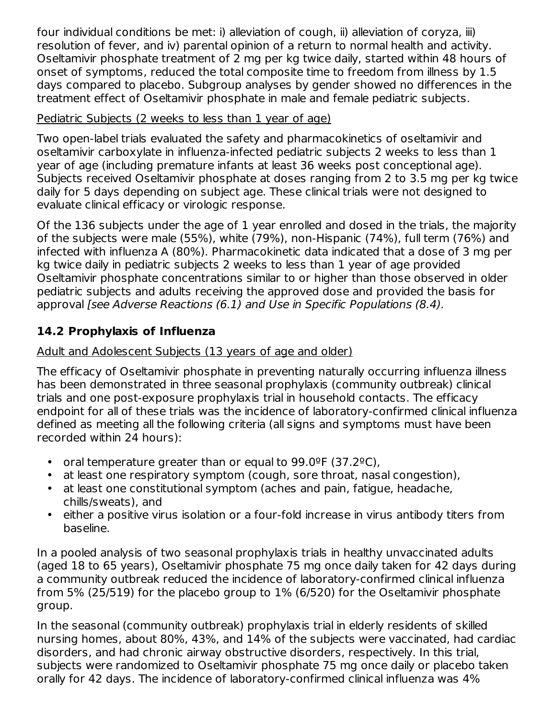four individual conditions be met: i) alleviation of cough, ii) alleviation of coryza, iii) resolution of fever, and iv) parental opinion of a return to normal health and activity. Oseltamivir phosphate treatment of 2 mg per kg twice daily, started within 48 hours of onset of symptoms, reduced the total composite time to freedom from illness by 1.5 days compared to placebo. Subgroup analyses by gender showed no differences in the treatment effect of Oseltamivir phosphate in male and female pediatric subjects.

## Pediatric Subjects (2 weeks to less than 1 year of age)

Two open-label trials evaluated the safety and pharmacokinetics of oseltamivir and oseltamivir carboxylate in influenza-infected pediatric subjects 2 weeks to less than 1 year of age (including premature infants at least 36 weeks post conceptional age). Subjects received Oseltamivir phosphate at doses ranging from 2 to 3.5 mg per kg twice daily for 5 days depending on subject age. These clinical trials were not designed to evaluate clinical efficacy or virologic response.

Of the 136 subjects under the age of 1 year enrolled and dosed in the trials, the majority of the subjects were male (55%), white (79%), non-Hispanic (74%), full term (76%) and infected with influenza A (80%). Pharmacokinetic data indicated that a dose of 3 mg per kg twice daily in pediatric subjects 2 weeks to less than 1 year of age provided Oseltamivir phosphate concentrations similar to or higher than those observed in older pediatric subjects and adults receiving the approved dose and provided the basis for approval [see Adverse Reactions (6.1) and Use in Specific Populations (8.4).

# **14.2 Prophylaxis of Influenza**

# Adult and Adolescent Subjects (13 years of age and older)

The efficacy of Oseltamivir phosphate in preventing naturally occurring influenza illness has been demonstrated in three seasonal prophylaxis (community outbreak) clinical trials and one post-exposure prophylaxis trial in household contacts. The efficacy endpoint for all of these trials was the incidence of laboratory-confirmed clinical influenza defined as meeting all the following criteria (all signs and symptoms must have been recorded within 24 hours):

- oral temperature greater than or equal to 99.0ºF (37.2ºC),
- at least one respiratory symptom (cough, sore throat, nasal congestion),
- at least one constitutional symptom (aches and pain, fatigue, headache, chills/sweats), and
- either a positive virus isolation or a four-fold increase in virus antibody titers from baseline.

In a pooled analysis of two seasonal prophylaxis trials in healthy unvaccinated adults (aged 18 to 65 years), Oseltamivir phosphate 75 mg once daily taken for 42 days during a community outbreak reduced the incidence of laboratory-confirmed clinical influenza from 5% (25/519) for the placebo group to 1% (6/520) for the Oseltamivir phosphate group.

In the seasonal (community outbreak) prophylaxis trial in elderly residents of skilled nursing homes, about 80%, 43%, and 14% of the subjects were vaccinated, had cardiac disorders, and had chronic airway obstructive disorders, respectively. In this trial, subjects were randomized to Oseltamivir phosphate 75 mg once daily or placebo taken orally for 42 days. The incidence of laboratory-confirmed clinical influenza was 4%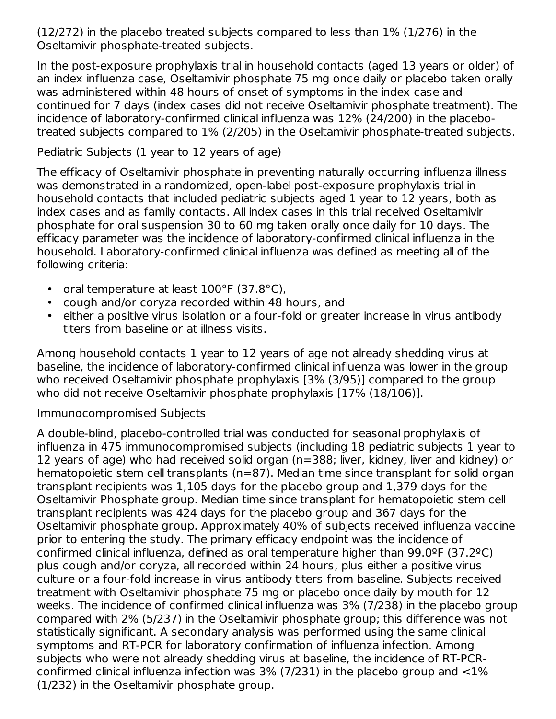(12/272) in the placebo treated subjects compared to less than 1% (1/276) in the Oseltamivir phosphate-treated subjects.

In the post-exposure prophylaxis trial in household contacts (aged 13 years or older) of an index influenza case, Oseltamivir phosphate 75 mg once daily or placebo taken orally was administered within 48 hours of onset of symptoms in the index case and continued for 7 days (index cases did not receive Oseltamivir phosphate treatment). The incidence of laboratory-confirmed clinical influenza was 12% (24/200) in the placebotreated subjects compared to 1% (2/205) in the Oseltamivir phosphate-treated subjects.

#### Pediatric Subjects (1 year to 12 years of age)

The efficacy of Oseltamivir phosphate in preventing naturally occurring influenza illness was demonstrated in a randomized, open-label post-exposure prophylaxis trial in household contacts that included pediatric subjects aged 1 year to 12 years, both as index cases and as family contacts. All index cases in this trial received Oseltamivir phosphate for oral suspension 30 to 60 mg taken orally once daily for 10 days. The efficacy parameter was the incidence of laboratory-confirmed clinical influenza in the household. Laboratory-confirmed clinical influenza was defined as meeting all of the following criteria:

- oral temperature at least 100°F (37.8°C),
- cough and/or coryza recorded within 48 hours, and
- either a positive virus isolation or a four-fold or greater increase in virus antibody titers from baseline or at illness visits.

Among household contacts 1 year to 12 years of age not already shedding virus at baseline, the incidence of laboratory-confirmed clinical influenza was lower in the group who received Oseltamivir phosphate prophylaxis [3% (3/95)] compared to the group who did not receive Oseltamivir phosphate prophylaxis [17% (18/106)].

### Immunocompromised Subjects

A double-blind, placebo-controlled trial was conducted for seasonal prophylaxis of influenza in 475 immunocompromised subjects (including 18 pediatric subjects 1 year to 12 years of age) who had received solid organ (n=388; liver, kidney, liver and kidney) or hematopoietic stem cell transplants (n=87). Median time since transplant for solid organ transplant recipients was 1,105 days for the placebo group and 1,379 days for the Oseltamivir Phosphate group. Median time since transplant for hematopoietic stem cell transplant recipients was 424 days for the placebo group and 367 days for the Oseltamivir phosphate group. Approximately 40% of subjects received influenza vaccine prior to entering the study. The primary efficacy endpoint was the incidence of confirmed clinical influenza, defined as oral temperature higher than 99.0ºF (37.2ºC) plus cough and/or coryza, all recorded within 24 hours, plus either a positive virus culture or a four-fold increase in virus antibody titers from baseline. Subjects received treatment with Oseltamivir phosphate 75 mg or placebo once daily by mouth for 12 weeks. The incidence of confirmed clinical influenza was 3% (7/238) in the placebo group compared with 2% (5/237) in the Oseltamivir phosphate group; this difference was not statistically significant. A secondary analysis was performed using the same clinical symptoms and RT-PCR for laboratory confirmation of influenza infection. Among subjects who were not already shedding virus at baseline, the incidence of RT-PCRconfirmed clinical influenza infection was  $3\%$  (7/231) in the placebo group and  $<$ 1% (1/232) in the Oseltamivir phosphate group.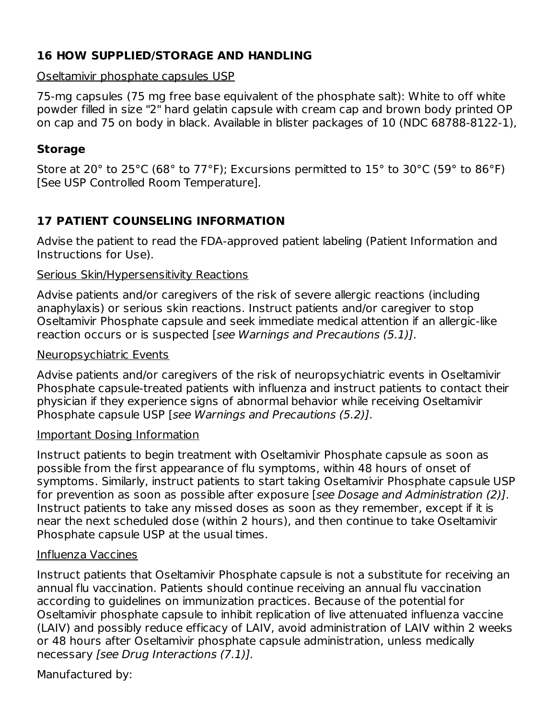# **16 HOW SUPPLIED/STORAGE AND HANDLING**

# Oseltamivir phosphate capsules USP

75-mg capsules (75 mg free base equivalent of the phosphate salt): White to off white powder filled in size "2" hard gelatin capsule with cream cap and brown body printed OP on cap and 75 on body in black. Available in blister packages of 10 (NDC 68788-8122-1),

## **Storage**

Store at 20° to 25°C (68° to 77°F); Excursions permitted to 15° to 30°C (59° to 86°F) [See USP Controlled Room Temperature].

# **17 PATIENT COUNSELING INFORMATION**

Advise the patient to read the FDA-approved patient labeling (Patient Information and Instructions for Use).

### Serious Skin/Hypersensitivity Reactions

Advise patients and/or caregivers of the risk of severe allergic reactions (including anaphylaxis) or serious skin reactions. Instruct patients and/or caregiver to stop Oseltamivir Phosphate capsule and seek immediate medical attention if an allergic-like reaction occurs or is suspected [see Warnings and Precautions (5.1)].

### Neuropsychiatric Events

Advise patients and/or caregivers of the risk of neuropsychiatric events in Oseltamivir Phosphate capsule-treated patients with influenza and instruct patients to contact their physician if they experience signs of abnormal behavior while receiving Oseltamivir Phosphate capsule USP [see Warnings and Precautions (5.2)].

## Important Dosing Information

Instruct patients to begin treatment with Oseltamivir Phosphate capsule as soon as possible from the first appearance of flu symptoms, within 48 hours of onset of symptoms. Similarly, instruct patients to start taking Oseltamivir Phosphate capsule USP for prevention as soon as possible after exposure [see Dosage and Administration (2)]. Instruct patients to take any missed doses as soon as they remember, except if it is near the next scheduled dose (within 2 hours), and then continue to take Oseltamivir Phosphate capsule USP at the usual times.

## Influenza Vaccines

Instruct patients that Oseltamivir Phosphate capsule is not a substitute for receiving an annual flu vaccination. Patients should continue receiving an annual flu vaccination according to guidelines on immunization practices. Because of the potential for Oseltamivir phosphate capsule to inhibit replication of live attenuated influenza vaccine (LAIV) and possibly reduce efficacy of LAIV, avoid administration of LAIV within 2 weeks or 48 hours after Oseltamivir phosphate capsule administration, unless medically necessary [see Drug Interactions (7.1)].

Manufactured by: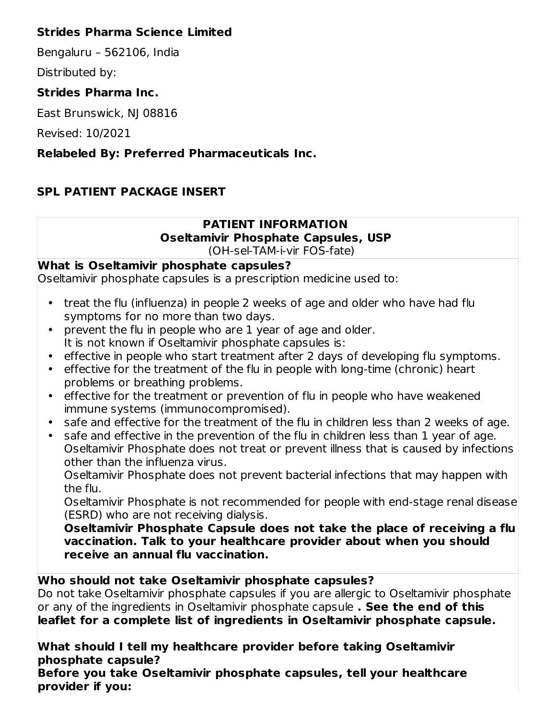## **Strides Pharma Science Limited**

Bengaluru – 562106, India

Distributed by:

# **Strides Pharma Inc.**

East Brunswick, NJ 08816

Revised: 10/2021

# **Relabeled By: Preferred Pharmaceuticals Inc.**

# **SPL PATIENT PACKAGE INSERT**

#### **PATIENT INFORMATION Oseltamivir Phosphate Capsules, USP** (OH-sel-TAM-i-vir FOS-fate)

## **What is Oseltamivir phosphate capsules?**

Oseltamivir phosphate capsules is a prescription medicine used to:

- treat the flu (influenza) in people 2 weeks of age and older who have had flu symptoms for no more than two days.
- prevent the flu in people who are 1 year of age and older. It is not known if Oseltamivir phosphate capsules is:
- effective in people who start treatment after 2 days of developing flu symptoms.
- effective for the treatment of the flu in people with long-time (chronic) heart problems or breathing problems.
- effective for the treatment or prevention of flu in people who have weakened immune systems (immunocompromised).
- safe and effective for the treatment of the flu in children less than 2 weeks of age.
- safe and effective in the prevention of the flu in children less than 1 year of age. Oseltamivir Phosphate does not treat or prevent illness that is caused by infections other than the influenza virus.

Oseltamivir Phosphate does not prevent bacterial infections that may happen with the flu.

Oseltamivir Phosphate is not recommended for people with end-stage renal disease (ESRD) who are not receiving dialysis.

**Oseltamivir Phosphate Capsule does not take the place of receiving a flu vaccination. Talk to your healthcare provider about when you should receive an annual flu vaccination.**

## **Who should not take Oseltamivir phosphate capsules?**

Do not take Oseltamivir phosphate capsules if you are allergic to Oseltamivir phosphate or any of the ingredients in Oseltamivir phosphate capsule **. See the end of this leaflet for a complete list of ingredients in Oseltamivir phosphate capsule.**

**What should I tell my healthcare provider before taking Oseltamivir phosphate capsule?**

**Before you take Oseltamivir phosphate capsules, tell your healthcare provider if you:**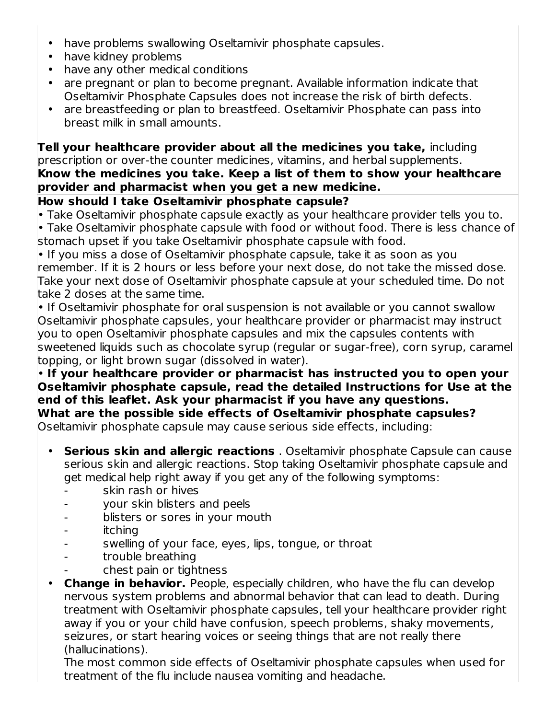- have problems swallowing Oseltamivir phosphate capsules.
- have kidney problems
- have any other medical conditions
- are pregnant or plan to become pregnant. Available information indicate that Oseltamivir Phosphate Capsules does not increase the risk of birth defects.
- are breastfeeding or plan to breastfeed. Oseltamivir Phosphate can pass into breast milk in small amounts.

**Tell your healthcare provider about all the medicines you take,** including prescription or over-the counter medicines, vitamins, and herbal supplements.

### **Know the medicines you take. Keep a list of them to show your healthcare provider and pharmacist when you get a new medicine.**

### **How should I take Oseltamivir phosphate capsule?**

• Take Oseltamivir phosphate capsule exactly as your healthcare provider tells you to.

• Take Oseltamivir phosphate capsule with food or without food. There is less chance of stomach upset if you take Oseltamivir phosphate capsule with food.

• If you miss a dose of Oseltamivir phosphate capsule, take it as soon as you remember. If it is 2 hours or less before your next dose, do not take the missed dose. Take your next dose of Oseltamivir phosphate capsule at your scheduled time. Do not take 2 doses at the same time.

• If Oseltamivir phosphate for oral suspension is not available or you cannot swallow Oseltamivir phosphate capsules, your healthcare provider or pharmacist may instruct you to open Oseltamivir phosphate capsules and mix the capsules contents with sweetened liquids such as chocolate syrup (regular or sugar-free), corn syrup, caramel topping, or light brown sugar (dissolved in water).

• **If your healthcare provider or pharmacist has instructed you to open your Oseltamivir phosphate capsule, read the detailed Instructions for Use at the end of this leaflet. Ask your pharmacist if you have any questions. What are the possible side effects of Oseltamivir phosphate capsules?** Oseltamivir phosphate capsule may cause serious side effects, including:

- **Serious skin and allergic reactions** . Oseltamivir phosphate Capsule can cause serious skin and allergic reactions. Stop taking Oseltamivir phosphate capsule and get medical help right away if you get any of the following symptoms:
	- skin rash or hives
	- your skin blisters and peels
	- blisters or sores in your mouth
	- itching
	- swelling of your face, eyes, lips, tongue, or throat
	- trouble breathing
	- chest pain or tightness
- **Change in behavior.** People, especially children, who have the flu can develop nervous system problems and abnormal behavior that can lead to death. During treatment with Oseltamivir phosphate capsules, tell your healthcare provider right away if you or your child have confusion, speech problems, shaky movements, seizures, or start hearing voices or seeing things that are not really there (hallucinations).

The most common side effects of Oseltamivir phosphate capsules when used for treatment of the flu include nausea vomiting and headache.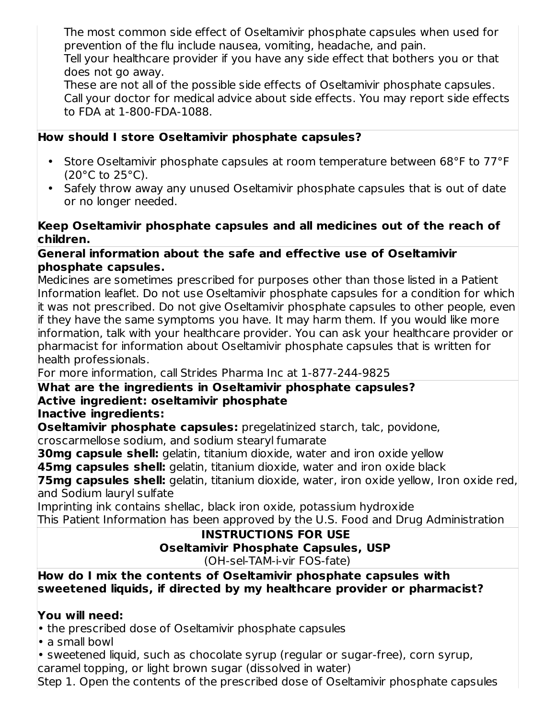The most common side effect of Oseltamivir phosphate capsules when used for prevention of the flu include nausea, vomiting, headache, and pain.

Tell your healthcare provider if you have any side effect that bothers you or that does not go away.

These are not all of the possible side effects of Oseltamivir phosphate capsules. Call your doctor for medical advice about side effects. You may report side effects to FDA at 1-800-FDA-1088.

# **How should I store Oseltamivir phosphate capsules?**

- Store Oseltamivir phosphate capsules at room temperature between 68°F to 77°F  $(20^{\circ}$ C to  $25^{\circ}$ C).
- Safely throw away any unused Oseltamivir phosphate capsules that is out of date or no longer needed.

#### **Keep Oseltamivir phosphate capsules and all medicines out of the reach of children.**

### **General information about the safe and effective use of Oseltamivir phosphate capsules.**

Medicines are sometimes prescribed for purposes other than those listed in a Patient Information leaflet. Do not use Oseltamivir phosphate capsules for a condition for which it was not prescribed. Do not give Oseltamivir phosphate capsules to other people, even if they have the same symptoms you have. It may harm them. If you would like more information, talk with your healthcare provider. You can ask your healthcare provider or pharmacist for information about Oseltamivir phosphate capsules that is written for health professionals.

For more information, call Strides Pharma Inc at 1-877-244-9825

### **What are the ingredients in Oseltamivir phosphate capsules? Active ingredient: oseltamivir phosphate**

### **Inactive ingredients:**

**Oseltamivir phosphate capsules:** pregelatinized starch, talc, povidone, croscarmellose sodium, and sodium stearyl fumarate

**30mg capsule shell:** gelatin, titanium dioxide, water and iron oxide yellow

**45mg capsules shell:** gelatin, titanium dioxide, water and iron oxide black

**75mg capsules shell:** gelatin, titanium dioxide, water, iron oxide yellow, Iron oxide red, and Sodium lauryl sulfate

Imprinting ink contains shellac, black iron oxide, potassium hydroxide This Patient Information has been approved by the U.S. Food and Drug Administration

#### **INSTRUCTIONS FOR USE Oseltamivir Phosphate Capsules, USP** (OH-sel-TAM-i-vir FOS-fate)

**How do I mix the contents of Oseltamivir phosphate capsules with sweetened liquids, if directed by my healthcare provider or pharmacist?**

### **You will need:**

• the prescribed dose of Oseltamivir phosphate capsules

• a small bowl

• sweetened liquid, such as chocolate syrup (regular or sugar-free), corn syrup, caramel topping, or light brown sugar (dissolved in water)

Step 1. Open the contents of the prescribed dose of Oseltamivir phosphate capsules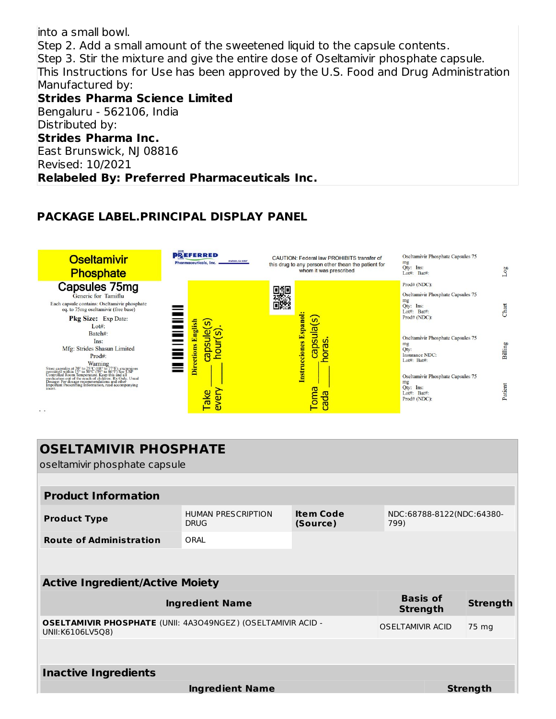into a small bowl. Step 2. Add a small amount of the sweetened liquid to the capsule contents. Step 3. Stir the mixture and give the entire dose of Oseltamivir phosphate capsule. This Instructions for Use has been approved by the U.S. Food and Drug Administration Manufactured by: **Strides Pharma Science Limited** Bengaluru - 562106, India Distributed by: **Strides Pharma Inc.** East Brunswick, NJ 08816 Revised: 10/2021 **Relabeled By: Preferred Pharmaceuticals Inc.**

## **PACKAGE LABEL.PRINCIPAL DISPLAY PANEL**



| <b>OSELTAMIVIR PHOSPHATE</b><br>oseltamivir phosphate capsule                           |                                          |                              |                                    |  |                 |  |
|-----------------------------------------------------------------------------------------|------------------------------------------|------------------------------|------------------------------------|--|-----------------|--|
|                                                                                         |                                          |                              |                                    |  |                 |  |
| <b>Product Information</b>                                                              |                                          |                              |                                    |  |                 |  |
| <b>Product Type</b>                                                                     | <b>HUMAN PRESCRIPTION</b><br><b>DRUG</b> | <b>Item Code</b><br>(Source) | NDC:68788-8122(NDC:64380-<br>799)  |  |                 |  |
| <b>Route of Administration</b>                                                          | ORAL                                     |                              |                                    |  |                 |  |
| <b>Active Ingredient/Active Moiety</b>                                                  |                                          |                              |                                    |  |                 |  |
|                                                                                         | <b>Ingredient Name</b>                   |                              | <b>Basis of</b><br><b>Strength</b> |  | <b>Strength</b> |  |
| <b>OSELTAMIVIR PHOSPHATE (UNII: 4A3O49NGEZ) (OSELTAMIVIR ACID -</b><br>UNII:K6106LV5Q8) |                                          |                              | <b>OSELTAMIVIR ACID</b>            |  | 75 mg           |  |
|                                                                                         |                                          |                              |                                    |  |                 |  |
| <b>Inactive Ingredients</b>                                                             |                                          |                              |                                    |  |                 |  |
|                                                                                         | <b>Ingredient Name</b>                   |                              |                                    |  | Strength        |  |